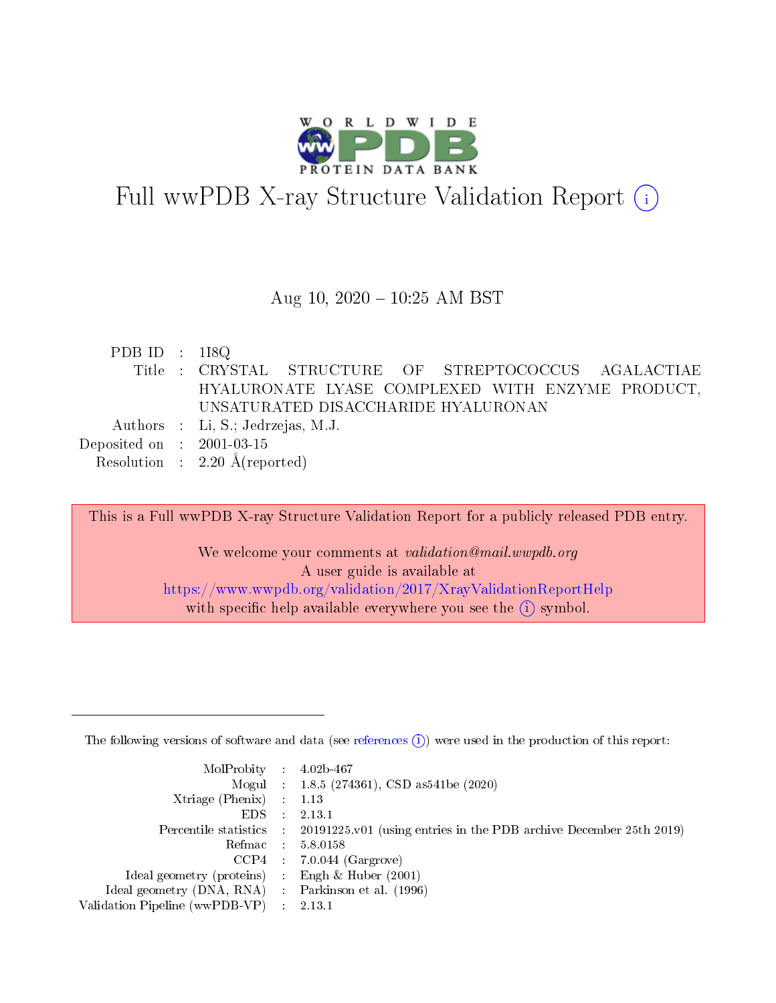

# Full wwPDB X-ray Structure Validation Report  $(i)$

#### Aug 10,  $2020 - 10:25$  AM BST

| PDB ID : $118Q$             |                                                       |
|-----------------------------|-------------------------------------------------------|
|                             | Title : CRYSTAL STRUCTURE OF STREPTOCOCCUS AGALACTIAE |
|                             | HYALURONATE LYASE COMPLEXED WITH ENZYME PRODUCT,      |
|                             | UNSATURATED DISACCHARIDE HYALURONAN                   |
|                             | Authors : Li, S.; Jedrzejas, M.J.                     |
| Deposited on : $2001-03-15$ |                                                       |
|                             | Resolution : $2.20 \text{ Å}$ (reported)              |

This is a Full wwPDB X-ray Structure Validation Report for a publicly released PDB entry. We welcome your comments at validation@mail.wwpdb.org A user guide is available at <https://www.wwpdb.org/validation/2017/XrayValidationReportHelp> with specific help available everywhere you see the  $(i)$  symbol.

The following versions of software and data (see [references](https://www.wwpdb.org/validation/2017/XrayValidationReportHelp#references)  $(1)$ ) were used in the production of this report:

| $MolProbability$ : 4.02b-467                        |                                                                                            |
|-----------------------------------------------------|--------------------------------------------------------------------------------------------|
|                                                     | Mogul : $1.8.5$ (274361), CSD as 541be (2020)                                              |
| Xtriage (Phenix) $: 1.13$                           |                                                                                            |
| $EDS$ :                                             | 2.13.1                                                                                     |
|                                                     | Percentile statistics : 20191225.v01 (using entries in the PDB archive December 25th 2019) |
| Refmac : 5.8.0158                                   |                                                                                            |
| $CCP4$ :                                            | $7.0.044$ (Gargrove)                                                                       |
| Ideal geometry (proteins) :                         | Engh & Huber $(2001)$                                                                      |
| Ideal geometry (DNA, RNA) : Parkinson et al. (1996) |                                                                                            |
| Validation Pipeline (wwPDB-VP) : 2.13.1             |                                                                                            |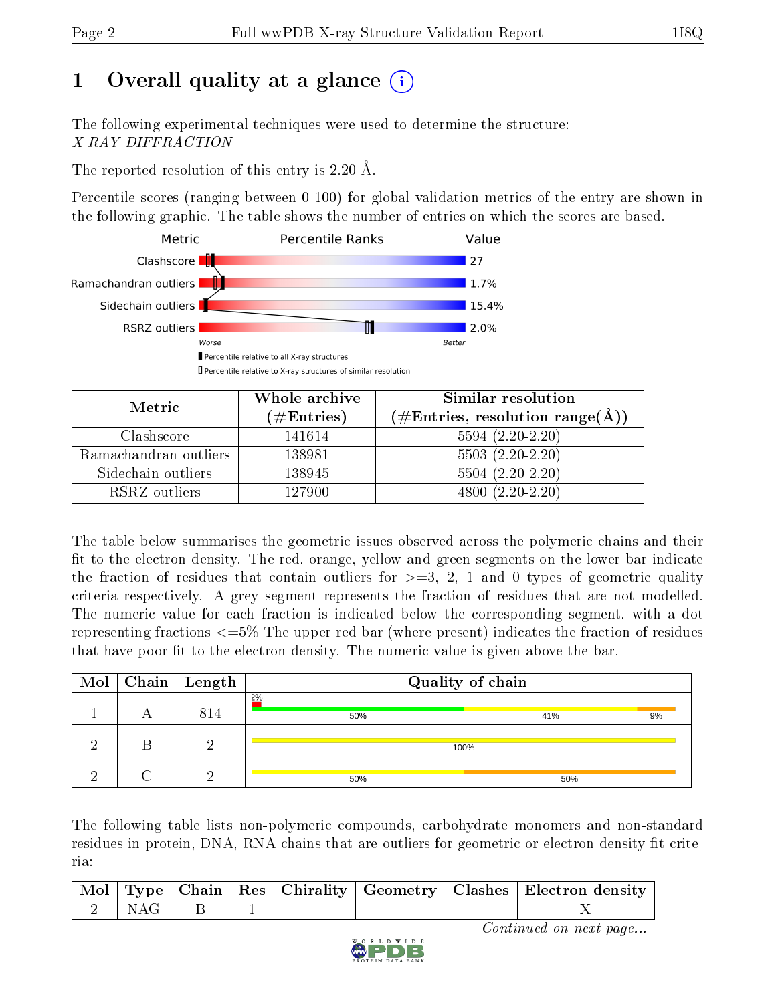# 1 [O](https://www.wwpdb.org/validation/2017/XrayValidationReportHelp#overall_quality)verall quality at a glance (i)

The following experimental techniques were used to determine the structure: X-RAY DIFFRACTION

The reported resolution of this entry is 2.20 Å.

Percentile scores (ranging between 0-100) for global validation metrics of the entry are shown in the following graphic. The table shows the number of entries on which the scores are based.



| Metric                | Whole archive<br>$(\#\text{Entries})$ | Similar resolution<br>$(\#\text{Entries}, \text{resolution range}(\text{\AA}))$ |
|-----------------------|---------------------------------------|---------------------------------------------------------------------------------|
| Clashscore            | 141614                                | $5594(2.20-2.20)$                                                               |
| Ramachandran outliers | 138981                                | $5503(2.20-2.20)$                                                               |
| Sidechain outliers    | 138945                                | $5504(2.20-2.20)$                                                               |
| RSRZ outliers         | 127900                                | $4800(2.20-2.20)$                                                               |

The table below summarises the geometric issues observed across the polymeric chains and their fit to the electron density. The red, orange, yellow and green segments on the lower bar indicate the fraction of residues that contain outliers for  $\geq=3$ , 2, 1 and 0 types of geometric quality criteria respectively. A grey segment represents the fraction of residues that are not modelled. The numeric value for each fraction is indicated below the corresponding segment, with a dot representing fractions <=5% The upper red bar (where present) indicates the fraction of residues that have poor fit to the electron density. The numeric value is given above the bar.

|  | $\overline{\text{Mol}}$ Chain   Length | Quality of chain |           |  |  |
|--|----------------------------------------|------------------|-----------|--|--|
|  | 814                                    | 2%<br>50%        | 9%<br>41% |  |  |
|  | റ                                      | 100%             |           |  |  |
|  | ച                                      | 50%              | 50%       |  |  |

The following table lists non-polymeric compounds, carbohydrate monomers and non-standard residues in protein, DNA, RNA chains that are outliers for geometric or electron-density-fit criteria:

|                                                       |  |  | Mol Type Chain Res Chirality Geometry Clashes Electron density |
|-------------------------------------------------------|--|--|----------------------------------------------------------------|
| $\begin{array}{cc} \vert & 2 \end{array}$ NAG $\vert$ |  |  |                                                                |

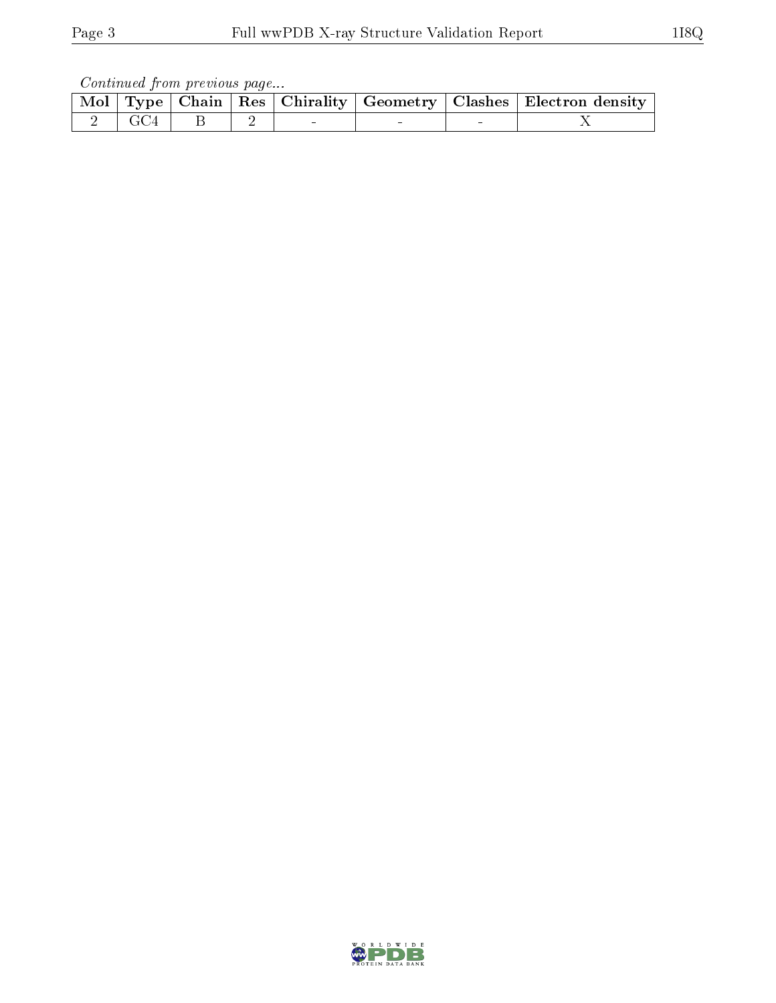Continued from previous page...

|  |           |  |  | Mol   Type   Chain   Res   Chirality   Geometry   Clashes   Electron density |
|--|-----------|--|--|------------------------------------------------------------------------------|
|  | 2 GC4 B 2 |  |  |                                                                              |

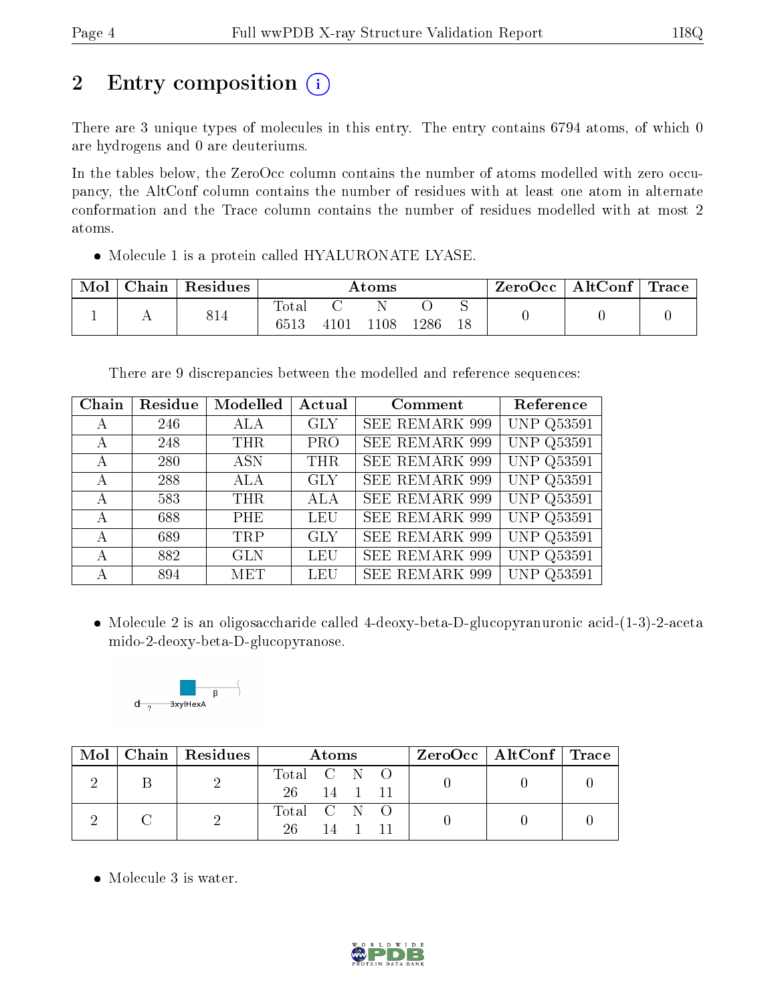## 2 Entry composition (i)

There are 3 unique types of molecules in this entry. The entry contains 6794 atoms, of which 0 are hydrogens and 0 are deuteriums.

In the tables below, the ZeroOcc column contains the number of atoms modelled with zero occupancy, the AltConf column contains the number of residues with at least one atom in alternate conformation and the Trace column contains the number of residues modelled with at most 2 atoms.

Molecule 1 is a protein called HYALURONATE LYASE.

| Mol | $\bot$ Chain $^+$ | Residues | $\rm{Atoms}$        |      |      | ZeroOcc | $\vert$ AltConf $\vert$ Trace |  |  |  |
|-----|-------------------|----------|---------------------|------|------|---------|-------------------------------|--|--|--|
|     |                   | 814      | $\rm Total$<br>6513 | 4101 | .108 | 1286    |                               |  |  |  |

There are 9 discrepancies between the modelled and reference sequences:

| Chain | Residue | Modelled   | Actual     | Comment               | Reference         |
|-------|---------|------------|------------|-----------------------|-------------------|
| A     | 246     | ALA        | <b>GLY</b> | <b>SEE REMARK 999</b> | UNP Q53591        |
| А     | 248     | <b>THR</b> | PRO        | SEE REMARK 999        | <b>UNP Q53591</b> |
| A     | 280     | <b>ASN</b> | <b>THR</b> | <b>SEE REMARK 999</b> | <b>UNP Q53591</b> |
| А     | 288     | ALA        | <b>GLY</b> | <b>SEE REMARK 999</b> | <b>UNP Q53591</b> |
| А     | 583     | <b>THR</b> | <b>ALA</b> | <b>SEE REMARK 999</b> | <b>UNP Q53591</b> |
| А     | 688     | <b>PHE</b> | LEU        | <b>SEE REMARK 999</b> | <b>UNP Q53591</b> |
| A     | 689     | <b>TRP</b> | <b>GLY</b> | <b>SEE REMARK 999</b> | <b>UNP Q53591</b> |
| А     | 882     | <b>GLN</b> | LEU        | <b>SEE REMARK 999</b> | <b>UNP Q53591</b> |
| А     | 894     | <b>MET</b> | LEU        | <b>SEE REMARK 999</b> | <b>UNP Q53591</b> |

 Molecule 2 is an oligosaccharide called 4-deoxy-beta-D-glucopyranuronic acid-(1-3)-2-aceta mido-2-deoxy-beta-D-glucopyranose.



|  | Mol   Chain   Residues | Atoms                     | $ZeroOcc \   \ AltConf \   \ Trace$ |  |
|--|------------------------|---------------------------|-------------------------------------|--|
|  |                        | Total C N O<br>26 14 1 11 |                                     |  |
|  |                        | Total C N O<br>26.<br>14  |                                     |  |

• Molecule 3 is water.

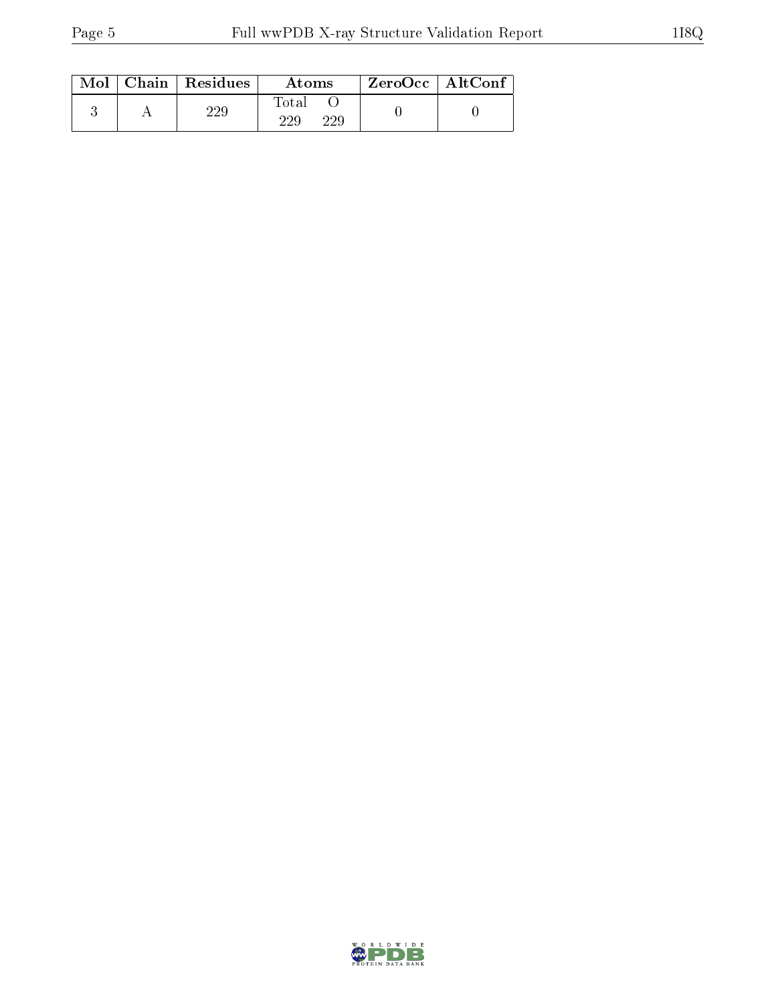| Mol | Chain   Residues | Atoms               | $ZeroOcc$   AltConf |  |
|-----|------------------|---------------------|---------------------|--|
|     | າາດ              | Total<br>229<br>229 |                     |  |

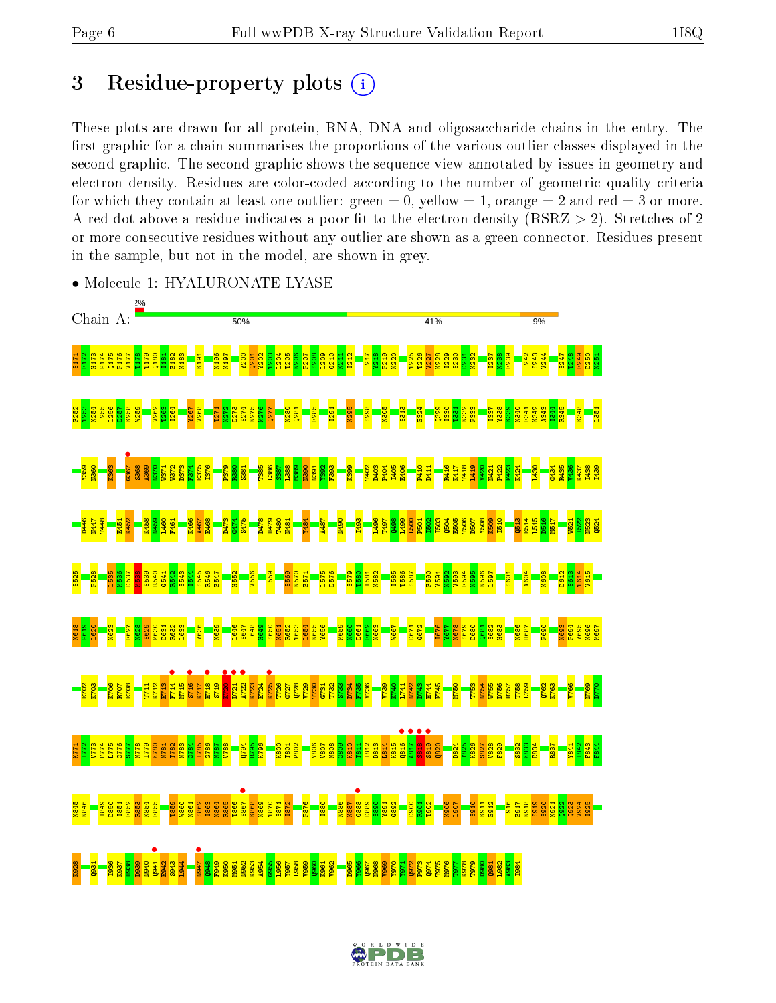## 3 Residue-property plots  $(i)$

These plots are drawn for all protein, RNA, DNA and oligosaccharide chains in the entry. The first graphic for a chain summarises the proportions of the various outlier classes displayed in the second graphic. The second graphic shows the sequence view annotated by issues in geometry and electron density. Residues are color-coded according to the number of geometric quality criteria for which they contain at least one outlier: green  $= 0$ , yellow  $= 1$ , orange  $= 2$  and red  $= 3$  or more. A red dot above a residue indicates a poor fit to the electron density ( $RSRZ > 2$ ). Stretches of 2 or more consecutive residues without any outlier are shown as a green connector. Residues present in the sample, but not in the model, are shown in grey.



• Molecule 1: HYALURONATE LYASE

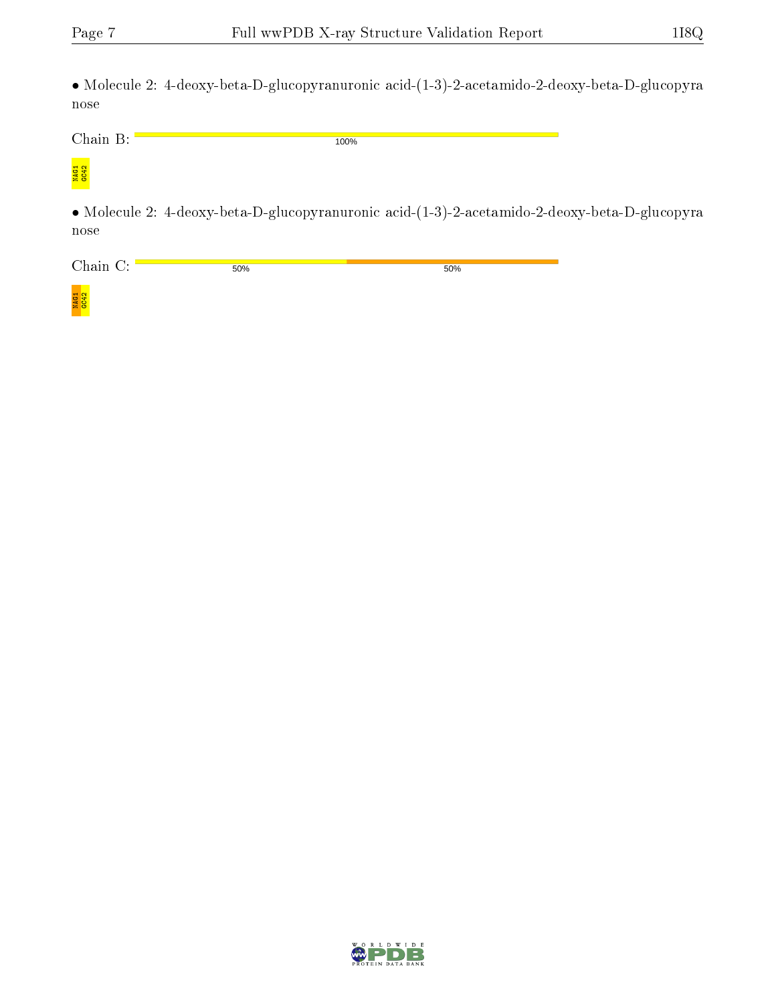• Molecule 2: 4-deoxy-beta-D-glucopyranuronic acid-(1-3)-2-acetamido-2-deoxy-beta-D-glucopyra nose

100%

Chain B:

# <mark>NAG1</mark><br>GC42

• Molecule 2: 4-deoxy-beta-D-glucopyranuronic acid-(1-3)-2-acetamido-2-deoxy-beta-D-glucopyra nose

Chain C: 50% 50%

NAG1<br>GC42

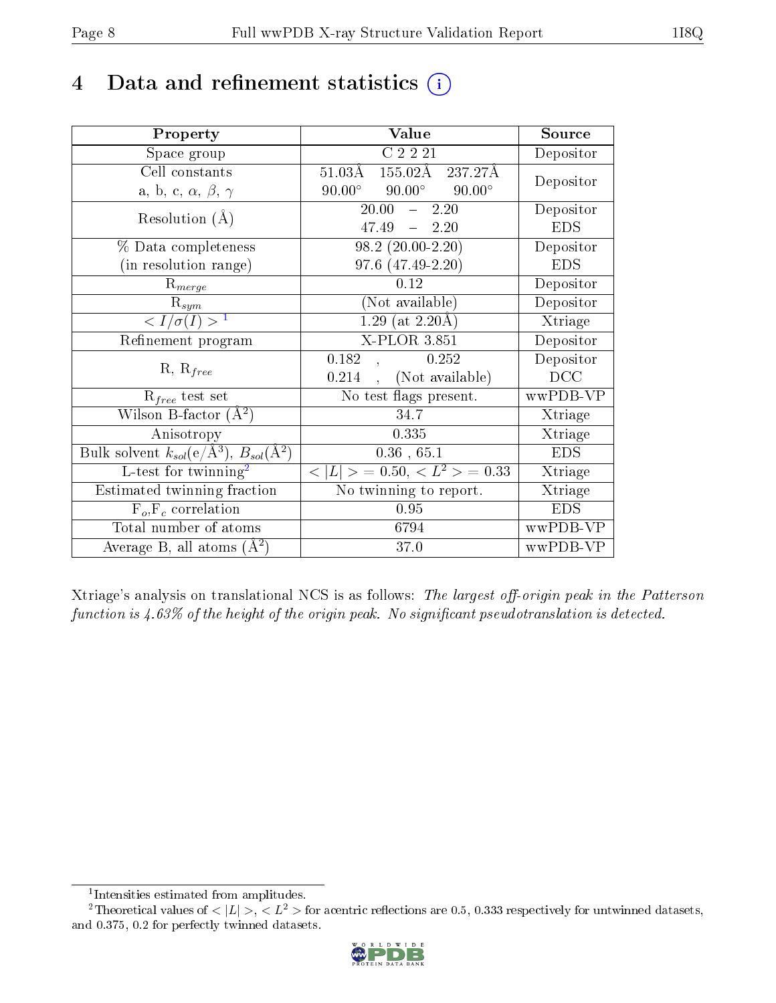## 4 Data and refinement statistics  $(i)$

| Property                                                             | Value                                            | Source     |
|----------------------------------------------------------------------|--------------------------------------------------|------------|
| Space group                                                          | C2221                                            | Depositor  |
| Cell constants                                                       | 155.02Å 237.27Å<br>$51.03\text{\AA}$             | Depositor  |
| a, b, c, $\alpha$ , $\beta$ , $\gamma$                               | $90.00^{\circ}$ $90.00^{\circ}$<br>$90.00^\circ$ |            |
| Resolution $(A)$                                                     | 20.00<br>$-2.20$                                 | Depositor  |
|                                                                      | $47.49 - 2.20$                                   | <b>EDS</b> |
| % Data completeness                                                  | $98.2(20.00-2.20)$                               | Depositor  |
| (in resolution range)                                                | 97.6 (47.49-2.20)                                | <b>EDS</b> |
| $R_{merge}$                                                          | 0.12                                             | Depositor  |
| $\mathrm{R}_{sym}$                                                   | (Not available)                                  | Depositor  |
| $\sqrt{I/\sigma}(I) > 1$                                             | $1.29$ (at 2.20Å)                                | Xtriage    |
| Refinement program                                                   | $\overline{\text{X-P}}$ LOR 3.851                | Depositor  |
| $R, R_{free}$                                                        | 0.182<br>0.252                                   | Depositor  |
|                                                                      | (Not available)<br>0.214                         | DCC        |
| $R_{free}$ test set                                                  | No test flags present.                           | wwPDB-VP   |
| Wilson B-factor $(A^2)$                                              | 34.7                                             | Xtriage    |
| Anisotropy                                                           | 0.335                                            | Xtriage    |
| Bulk solvent $k_{sol}(e/\mathring{A}^3)$ , $B_{sol}(\mathring{A}^2)$ | $0.36$ , 65.1                                    | <b>EDS</b> |
| $L$ -test for twinning <sup>2</sup>                                  | $< L >$ = 0.50, $< L2$ > = 0.33                  | Xtriage    |
| Estimated twinning fraction                                          | No twinning to report.                           | Xtriage    |
| $F_o, F_c$ correlation                                               | 0.95                                             | <b>EDS</b> |
| Total number of atoms                                                | 6794                                             | wwPDB-VP   |
| Average B, all atoms $(A^2)$                                         | 37.0                                             | wwPDB-VP   |

Xtriage's analysis on translational NCS is as follows: The largest off-origin peak in the Patterson function is  $4.63\%$  of the height of the origin peak. No significant pseudotranslation is detected.

<sup>&</sup>lt;sup>2</sup>Theoretical values of  $\langle |L| \rangle$ ,  $\langle L^2 \rangle$  for acentric reflections are 0.5, 0.333 respectively for untwinned datasets, and 0.375, 0.2 for perfectly twinned datasets.



<span id="page-7-1"></span><span id="page-7-0"></span><sup>1</sup> Intensities estimated from amplitudes.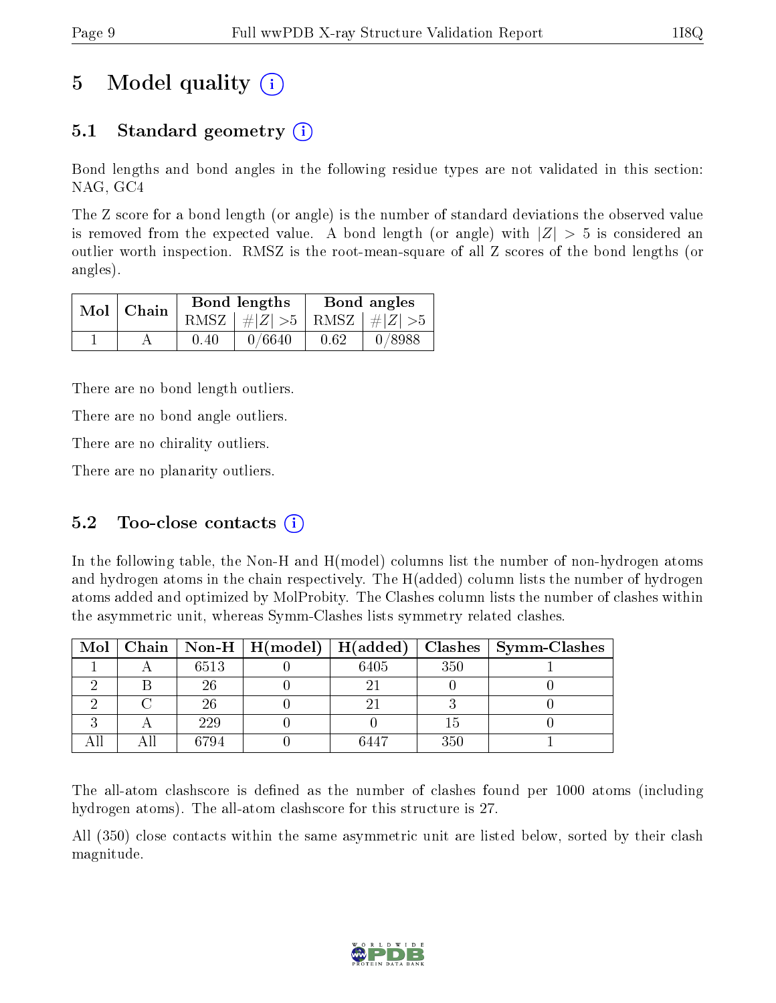# 5 Model quality  $(i)$

### 5.1 Standard geometry  $(i)$

Bond lengths and bond angles in the following residue types are not validated in this section: NAG, GC4

The Z score for a bond length (or angle) is the number of standard deviations the observed value is removed from the expected value. A bond length (or angle) with  $|Z| > 5$  is considered an outlier worth inspection. RMSZ is the root-mean-square of all Z scores of the bond lengths (or angles).

|  | $Mol$   Chain |      | Bond lengths                    | Bond angles |        |  |
|--|---------------|------|---------------------------------|-------------|--------|--|
|  |               |      | RMSZ $ #Z  > 5$ RMSZ $ #Z  > 5$ |             |        |  |
|  |               | 0.40 | 0/6640                          | 0.62        | 0/8988 |  |

There are no bond length outliers.

There are no bond angle outliers.

There are no chirality outliers.

There are no planarity outliers.

### 5.2 Too-close contacts  $(i)$

In the following table, the Non-H and H(model) columns list the number of non-hydrogen atoms and hydrogen atoms in the chain respectively. The H(added) column lists the number of hydrogen atoms added and optimized by MolProbity. The Clashes column lists the number of clashes within the asymmetric unit, whereas Symm-Clashes lists symmetry related clashes.

|  |      | Mol   Chain   Non-H   H(model)   H(added) |      |     | Clashes   Symm-Clashes |
|--|------|-------------------------------------------|------|-----|------------------------|
|  | 6513 |                                           | 6405 | 350 |                        |
|  | 26   |                                           |      |     |                        |
|  | 26   |                                           |      |     |                        |
|  | 229  |                                           |      |     |                        |
|  | 6794 |                                           | 6447 | 350 |                        |

The all-atom clashscore is defined as the number of clashes found per 1000 atoms (including hydrogen atoms). The all-atom clashscore for this structure is 27.

All (350) close contacts within the same asymmetric unit are listed below, sorted by their clash magnitude.

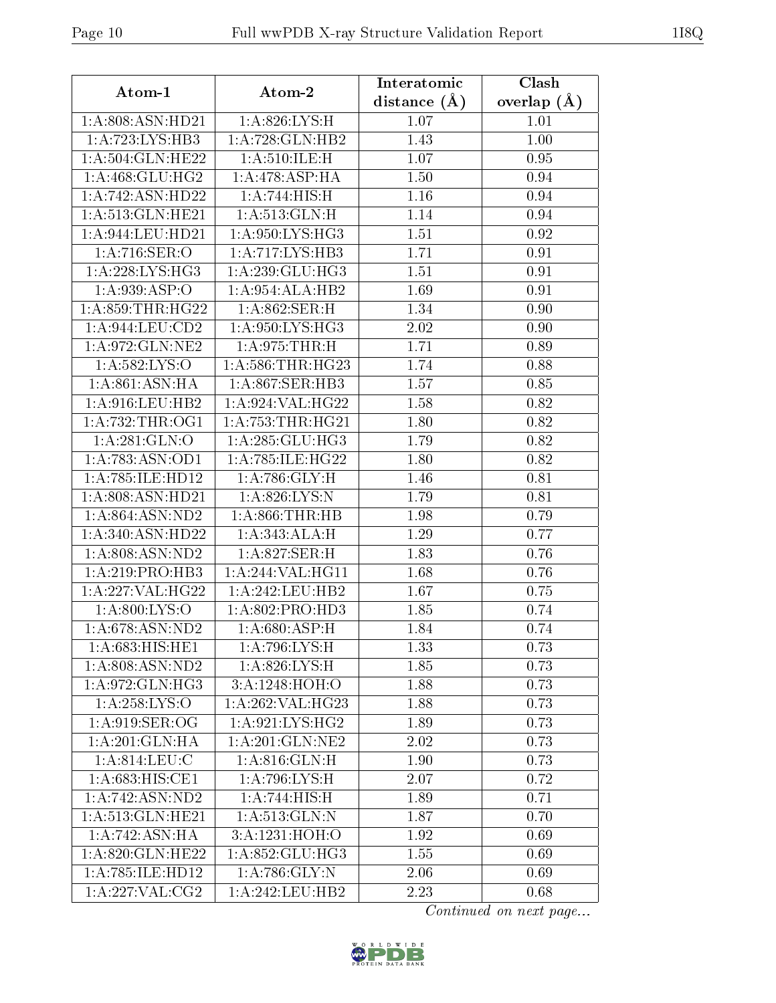| Atom-1                       | Atom-2               | Interatomic      | Clash         |
|------------------------------|----------------------|------------------|---------------|
|                              |                      | distance $(\AA)$ | overlap $(A)$ |
| 1:A:808:ASN:HD21             | 1: A:826: LYS:H      | 1.07             | 1.01          |
| 1:A:723:LYS:HB3              | 1:A:728:GLN:HB2      |                  | 1.00          |
| 1:A:504:GLN:HE22             | 1: A:510: ILE:H      | 1.07             | 0.95          |
| 1: A:468: GLU:HG2            | 1:A:478:ASP:HA       | 1.50             | 0.94          |
| 1: A:742: ASN:HD22           | 1:A:744:HIS:H        | 1.16             | 0.94          |
| 1:A:513:GLN:HE21             | 1: A:513: GLN:H      | 1.14             | 0.94          |
| 1: A:944:LEU:HD21            | 1: A:950: LYS: HG3   | 1.51             | 0.92          |
| 1: A:716: SER:O              | 1:A:717:LYS:HB3      | 1.71             | 0.91          |
| $1:A:228:LYS:H\overline{G3}$ | 1: A:239: GLU:HG3    | 1.51             | 0.91          |
| 1: A:939: ASP:O              | 1:A:954:ALA:HB2      | 1.69             | 0.91          |
| 1: A:859:THR:HG22            | 1:A:862:SER:H        | 1.34             | 0.90          |
| 1:A:944:LEU:CD2              | 1: A:950: LYS: HG3   | 2.02             | 0.90          |
| 1:A:972:GLN:NE2              | 1: A:975:THR:H       | 1.71             | 0.89          |
| 1: A:582:LYS:O               | 1: A:586:THR:HG23    | 1.74             | 0.88          |
| 1: A:861: ASN:HA             | 1:A:867:SER:HB3      | 1.57             | 0.85          |
| 1: A:916: LEU: HB2           | 1:A:924:VAL:HG22     | 1.58             | 0.82          |
| 1: A:732:THR:OG1             | 1: A: 753: THR: HG21 | 1.80             | 0.82          |
| 1: A:281: GLN:O              | 1: A:285: GLU:HG3    | 1.79             | 0.82          |
| 1:A:783:ASN:OD1              | 1:A:785:ILE:HG22     | 1.80             | 0.82          |
| 1:A:785:ILE:HD12             | 1: A:786: GLY: H     | 1.46             | 0.81          |
| 1:A:808:ASN:HD21             | 1:A:826:LYS:N        | 1.79             | 0.81          |
| 1: A:864: ASN:ND2            | 1: A:866:THR:HB      | 1.98             | 0.79          |
| 1:A:340:ASN:HD22             | 1: A:343:ALA:H       | 1.29             | 0.77          |
| 1:A:808:ASN:ND2              | 1: A:827: SER: H     | 1.83             | 0.76          |
| 1:A:219:PRO:HB3              | 1:A:244:VAL:HG11     | 1.68             | 0.76          |
| 1:A:227:VAL:HG22             | 1:A:242:LEU:HB2      | 1.67             | 0.75          |
| 1:A:800:LYS:O                | 1:A:802:PRO:HD3      | 1.85             | 0.74          |
| 1: A:678: ASN:ND2            | 1: A:680: ASP:H      | 1.84             | 0.74          |
| 1:A:683:HIS:HE1              | 1:A:796:LYS:H        | 1.33             | 0.73          |
| 1: A:808: ASN:ND2            | 1:A:826:LYS:H        | 1.85             | 0.73          |
| 1: A:972: GLN: HG3           | 3:A:1248:HOH:O       | 1.88             | 0.73          |
| 1: A: 258: LYS: O            | 1:A:262:VAL:HG23     | 1.88             | 0.73          |
| 1: A:919: SER:OG             | 1: A:921: LYS: HG2   | 1.89             | 0.73          |
| 1: A:201: GLN:HA             | 1: A:201: GLN:NE2    | 2.02             | 0.73          |
| 1:A:814:LEU:C                | 1: A:816: GLN: H     | 1.90             | 0.73          |
| 1: A:683:HIS:CE1             | 1:A:796:LYS:H        | 2.07             | 0.72          |
| 1:A:742:ASN:ND2              | 1:A:744:HIS:H        | 1.89             | 0.71          |
| 1:A:513:GLN:HE21             | 1: A:513: GLN:N      | 1.87             | 0.70          |
| 1:A:742:ASN:HA               | 3:A:1231:HOH:O       | 1.92             | 0.69          |
| 1:A:820:GLN:HE22             | 1:A:852:GLU:HG3      | 1.55             | 0.69          |
| 1:A:785:ILE:HD12             | 1: A:786: GLY:N      | 2.06             | 0.69          |
| 1: A:227: VAL:CG2            | 1:A:242:LEU:HB2      | 2.23             | 0.68          |

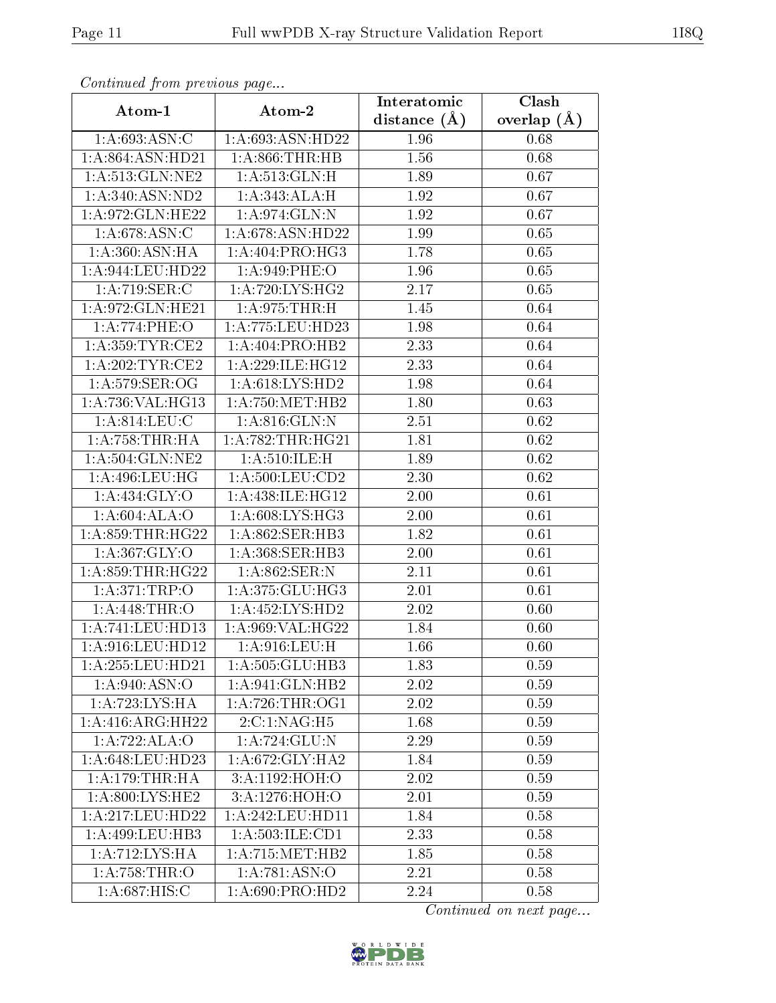| Continuea from previous page |                              | Interatomic       | Clash         |
|------------------------------|------------------------------|-------------------|---------------|
| Atom-1                       | Atom-2                       | distance $(A)$    | overlap $(A)$ |
| 1: A:693:ASN:C               | 1:A:693:ASN:HD22             | 1.96              | 0.68          |
| 1:A:864:ASN:HD21             | 1: A:866:THR:HB              | $\overline{1}.56$ | 0.68          |
| 1:A:513:GLN:NE2              | 1: A:513: GLN:H              | 1.89              | 0.67          |
| 1: A:340:ASN:ND2             | 1: A:343:ALA:H               | 1.92              | 0.67          |
| 1:A:972:GLN:HE22             | 1:A:974:GLN:N                | 1.92              | 0.67          |
| 1: A:678: ASN:C              | 1:A:678:ASN:HD22             | 1.99              | 0.65          |
| 1: A:360: ASN: HA            | 1:A:404:PRO:H <sub>G3</sub>  | 1.78              | 0.65          |
| $1: A:944:$ LEU:HD22         | 1: A:949: PHE:O              | 1.96              | 0.65          |
| 1:A:719:SER:C                | 1: A:720: LYS: HG2           | 2.17              | 0.65          |
| 1:A:972:GLN:HE21             | 1: A:975:THR:H               | 1.45              | 0.64          |
| 1:A:774:PHE:O                | 1:A:775:LEU:HD23             | 1.98              | 0.64          |
| 1:A:359:TYR:CE2              | $1:A:404:PRO:\overline{HB2}$ | 2.33              | 0.64          |
| 1:A:202:TYR:CE2              | 1:A:229:ILE:HG12             | 2.33              | 0.64          |
| 1: A:579: SER:OG             | 1: A:618: LYS: HD2           | 1.98              | 0.64          |
| 1:A:736:VAL:HG13             | 1: A:750:MET:HB2             | 1.80              | 0.63          |
| 1: A:814:LEU:C               | 1:A:816:GLN:N                | 2.51              | 0.62          |
| 1:A:758:THR:HA               | 1: A:782:THR:HG21            | 1.81              | $0.62\,$      |
| 1: A:504: GLN: NE2           | 1: A:510: ILE:H              | 1.89              | $0.62\,$      |
| 1:A:496:LEU:HG               | 1:A:500:LEU:CD2              | 2.30              | 0.62          |
| 1: A: 434: GLY: O            | 1:A:438:ILE:HG12             | 2.00              | 0.61          |
| 1: A:604: ALA:O              | 1: A:608: LYS: HG3           | 2.00              | 0.61          |
| 1:A:859:THR:HG22             | 1:A:862:SER:HB3              | 1.82              | 0.61          |
| 1:A:367:GLY:O                | 1: A: 368: SER: HB3          | 2.00              | 0.61          |
| 1:A:859:THR:HG22             | 1:A:862:SER:N                | 2.11              | 0.61          |
| 1:A:371:TRP:O                | 1:A:375:GLU:HG3              | 2.01              | 0.61          |
| 1: A:448:THR:O               | 1: A: 452: LYS: HD2          | 2.02              | 0.60          |
| 1:A:741:LEU:HD13             | 1:A:969:VAL:HG22             | 1.84              | 0.60          |
| 1: A:916:LEU:HD12            | 1: A:916: LEU:H              | 1.66              | 0.60          |
| 1:A:255:LEU:HD21             | 1:A:505:GLU:HB3              | 1.83              | 0.59          |
| 1:A:940:ASN:O                | 1:A:941:GLN:HB2              | 2.02              | 0.59          |
| 1:A:723:LYS:HA               | 1: A:726:THR:OG1             | 2.02              | 0.59          |
| 1:A:416:ARG:HH22             | 2:C:1:NAG:H5                 | 1.68              | 0.59          |
| 1:A:722:ALA:O                | 1:A:724:GLU:N                | 2.29              | 0.59          |
| 1:A:648:LEU:HD23             | 1:A:672:GLY:HA2              | 1.84              | 0.59          |
| 1: A:179:THR:HA              | 3:A:1192:HOH:O               | 2.02              | 0.59          |
| 1: A:800: LYS: HE2           | 3:A:1276:HOH:O               | 2.01              | 0.59          |
| 1:A:217:LEU:HD22             | 1: A:242:LEU:HD11            | 1.84              | 0.58          |
| 1: A:499: LEU:HB3            | 1:A:503:ILE:CD1              | 2.33              | 0.58          |
| 1:A:712:LYS:HA               | 1: A:715: MET:HB2            | 1.85              | 0.58          |
| 1:A:758:THR:O                | 1: A:781: ASN:O              | 2.21              | 0.58          |
| 1: A:687: HIS: C             | 1: A:690: PRO:HD2            | 2.24              | 0.58          |

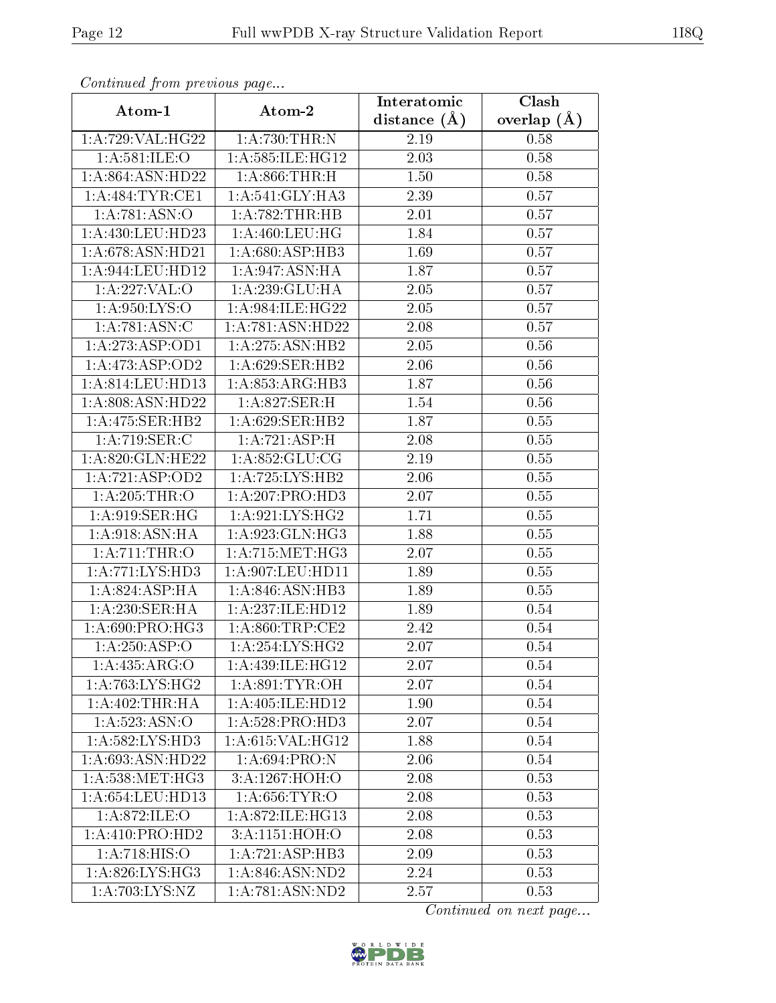| Commuca from previous page |                             | Interatomic    | Clash           |
|----------------------------|-----------------------------|----------------|-----------------|
| Atom-1                     | Atom-2                      | distance $(A)$ | overlap $(\AA)$ |
| 1:A:729:VAL:HG22           | 1: A:730:THR:N              | 2.19           | 0.58            |
| 1:A:581:ILE:O              | 1:A:585:ILE:HG12            | 2.03           | 0.58            |
| 1: A:864: ASN:HD22         | 1: A:866:THR:H              | 1.50           | 0.58            |
| 1: A:484:TYR:CE1           | 1:A:541:GLY:HA3             | 2.39           | 0.57            |
| 1:A:781:ASN:O              | 1: A:782:THR:HB             | $2.01\,$       | 0.57            |
| $1: A:430:$ LEU:HD23       | 1: A:460:LEU:HG             | 1.84           | 0.57            |
| 1:A:678:ASN:HD21           | 1:A:680:ASP:HB3             | 1.69           | 0.57            |
| 1:A:944:LEU:HD12           | 1:A:947:ASN:HA              | 1.87           | 0.57            |
| 1:A:227:VAL:O              | 1:A:239:GLU:HA              | 2.05           | 0.57            |
| 1: A:950: LYS:O            | 1:A:984:ILE:HG22            | 2.05           | 0.57            |
| 1:A:781:ASN:C              | 1:A:781:ASN:HD22            | 2.08           | 0.57            |
| 1:A:273:ASP:OD1            | 1:A:275:ASN:HB2             | 2.05           | 0.56            |
| 1:A:473:ASP:OD2            | 1: A:629: SER: HB2          | 2.06           | 0.56            |
| 1: A:814:LEU:HD13          | 1:A:853:ARG:HB3             | 1.87           | 0.56            |
| 1:A:808:ASN:HD22           | 1:A:827:SER:H               | 1.54           | 0.56            |
| 1:A:475:SER:HB2            | 1: A:629: SER: HB2          | 1.87           | 0.55            |
| 1:A:719:SER:C              | 1:A:721:ASP:H               | 2.08           | 0.55            |
| 1:A:820:GLN:HE22           | 1:A:852:GLU:CG              | 2.19           | 0.55            |
| 1:A:721:ASP:OD2            | 1:A:725:LYS:HB2             | 2.06           | 0.55            |
| $1:A:205$ :THR:O           | 1:A:207:PRO:H <sub>D3</sub> | 2.07           | 0.55            |
| 1: A:919: SER: HG          | 1: A:921: LYS: HG2          | 1.71           | 0.55            |
| 1: A:918: ASN: HA          | 1:A:923:GLN:HG3             | 1.88           | 0.55            |
| 1: A:711:THR:O             | 1: A:715:MET:HG3            | 2.07           | 0.55            |
| 1:A:771:LYS:HD3            | 1:A:907:LEU:HD11            | 1.89           | 0.55            |
| 1: A:824: ASP:HA           | 1:A:846:ASN:HB3             | 1.89           | 0.55            |
| 1:A:230:SER:HA             | 1:A:237:ILE:HD12            | 1.89           | 0.54            |
| 1: A:690: PRO:HG3          | 1: A:860:TRP:CE2            | 2.42           | 0.54            |
| $1:A:250:$ ASP:O           | 1: A:254:LYS:HG2            | 2.07           | 0.54            |
| 1: A: 435: ARG: O          | 1:A:439:ILE:HG12            | 2.07           | 0.54            |
| 1:A:763:LYS:HG2            | 1: A:891: TYR:OH            | 2.07           | 0.54            |
| 1: A:402:THR:HA            | 1:A:405:ILE:HD12            | 1.90           | 0.54            |
| $1:A:523.\overline{ASN:O}$ | 1:A:528:PRO:HD3             | 2.07           | 0.54            |
| 1:A:582:LYS:HD3            | 1: A:615: VAL:HG12          | 1.88           | 0.54            |
| 1:A:693:ASN:HD22           | 1:A:694:PRO:N               | 2.06           | 0.54            |
| 1: A: 538: MET: HG3        | 3:A:1267:HOH:O              | 2.08           | 0.53            |
| 1:A:654:LEU:HDI3           | 1:A:656:TYR:O               | 2.08           | 0.53            |
| 1: A:872: ILE: O           | 1: A:872: ILE: HG13         | 2.08           | 0.53            |
| 1:A:410:PRO:HD2            | 3:A:1151:HOH:O              | 2.08           | 0.53            |
| 1:A:718:HIS:O              | 1:A:721:ASP:HB3             | 2.09           | 0.53            |
| 1:A:826:LYS:HG3            | 1:A:846:ASN:ND2             | 2.24           | 0.53            |
| 1:A:703:LYS:NZ             | 1:A:781:ASN:ND2             | 2.57           | 0.53            |

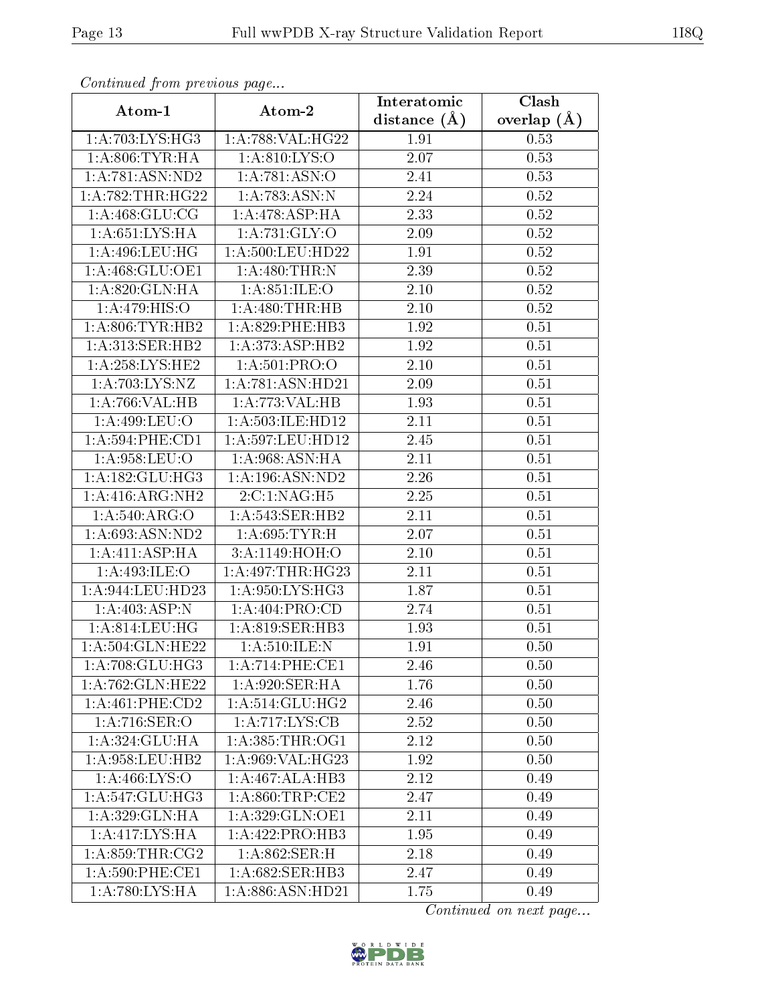| Commaca jibin previous page   |                                     | Interatomic       | Clash         |
|-------------------------------|-------------------------------------|-------------------|---------------|
| Atom-1                        | Atom-2                              | distance $(A)$    | overlap $(A)$ |
| 1:A:703:LYS:HG3               | 1:A:788:VAL:HG22                    | 1.91              | 0.53          |
| 1: A:806: TYR: HA             | 1: A.810: LYS:O                     | $\overline{2.07}$ | 0.53          |
| 1: A:781: ASN:ND2             | 1: A:781: ASN:O                     | 2.41              | 0.53          |
| 1: A:782:THR:HG22             | 1:A:783:ASN:N                       | 2.24              | 0.52          |
| 1:A:468:GLU:CG                | 1:A:478:ASP:HA                      | 2.33              | 0.52          |
| 1: A:651:LYS:HA               | 1: A:731: GLY:O                     | 2.09              | 0.52          |
| 1:A:496:LEU:HG                | 1:A:500:LEU:HD22                    | 1.91              | 0.52          |
| 1: A:468: GLU:OE1             | 1: A:480:THR:N                      | 2.39              | 0.52          |
| 1:A:820:GLN:HA                | 1: A:851: ILE:O                     | 2.10              | 0.52          |
| 1: A:479: HIS:O               | 1: A:480:THR:HB                     | 2.10              | 0.52          |
| 1: A:806: TYR:HB2             | 1:A:829:PHE:HB3                     | 1.92              | 0.51          |
| 1:A:313:SER:HB2               | 1:A:373:ASP:HB2                     | 1.92              | 0.51          |
| 1:A:258:LYS:HE2               | 1: A:501:PRO:O                      | 2.10              | 0.51          |
| 1:A:703:LYS:NZ                | 1:A:781:ASN:HD21                    | 2.09              | 0.51          |
| 1:A:766:VAL:HB                | 1:A:773:VAL:HB                      | 1.93              | 0.51          |
| 1:A:499:LEU:O                 | 1:A:503:ILE:HD12                    | 2.11              | 0.51          |
| 1: A:594:PHE:CD1              | 1:A:597:LEU:HD12                    | 2.45              | 0.51          |
| 1: A:958:LEU:O                | 1:A:968:ASN:HA                      | 2.11              | 0.51          |
| 1: A: 182: GLU: HG3           | 1:A:196:ASN:ND2                     | 2.26              | 0.51          |
| 1:A:416:ARG:NH2               | 2:C:1:NAG:H5                        | 2.25              | 0.51          |
| 1:A:540:ARG:O                 | 1: A:543: SER: HB2                  | 2.11              | 0.51          |
| 1: A:693:ASN:ND2              | 1: A:695: TYR:H                     | 2.07              | 0.51          |
| 1: A: 411: ASP: HA            | 3:A:1149:HOH:O                      | 2.10              | 0.51          |
| 1:A:493:ILE:O                 | 1: A:497:THR:HG23                   | 2.11              | 0.51          |
| $1:A:944:LEU:H\overline{D23}$ | 1: A:950: LYS: HG3                  | 1.87              | 0.51          |
| 1: A:403: ASP: N              | 1: A:404: PRO:CD                    | 2.74              | 0.51          |
| 1: A:814:LEU:HG               | 1:A:819:SER:HB3                     | 1.93              | 0.51          |
| 1: A:504: GLN: HE22           | 1: A:510: ILE:N                     | 1.91              | 0.50          |
| 1:A:708:GLU:HG3               | $1:A:714:PHE:\overline{\text{CE1}}$ | 2.46              | 0.50          |
| 1:A:762:GLN:HE22              | 1: A:920: SER: HA                   | 1.76              | 0.50          |
| $1:A:461:PHE:\overline{CD2}$  | 1: A:514: GLU: HG2                  | 2.46              | 0.50          |
| 1:A:716:SER:O                 | $1:A:717:\text{LYS:CB}$             | 2.52              | 0.50          |
| 1:A:324:GLU:HA                | 1: A:385:THR:OG1                    | 2.12              | 0.50          |
| 1:A:958:LEU:HB2               | 1:A:969:VAL:HG23                    | 1.92              | 0.50          |
| 1: A: 466: LYS: O             | 1:A:467:ALA:HB3                     | 2.12              | 0.49          |
| 1: A:547: GLU:HG3             | 1: A:860:TRP:CE2                    | 2.47              | 0.49          |
| 1:A:329:GLN:HA                | 1: A:329: GLN:OE1                   | 2.11              | 0.49          |
| 1:A:417:LYS:HA                | 1:A:422:PRO:HB3                     | 1.95              | 0.49          |
| 1: A:859:THR:CG2              | 1:A:862:SER:H                       | 2.18              | 0.49          |
| $1: A:590:$ PHE:CE1           | 1:A:682:SER:HB3                     | 2.47              | 0.49          |
| 1:A:780:LYS:HA                | 1:A:886:ASN:HD21                    | 1.75              | 0.49          |

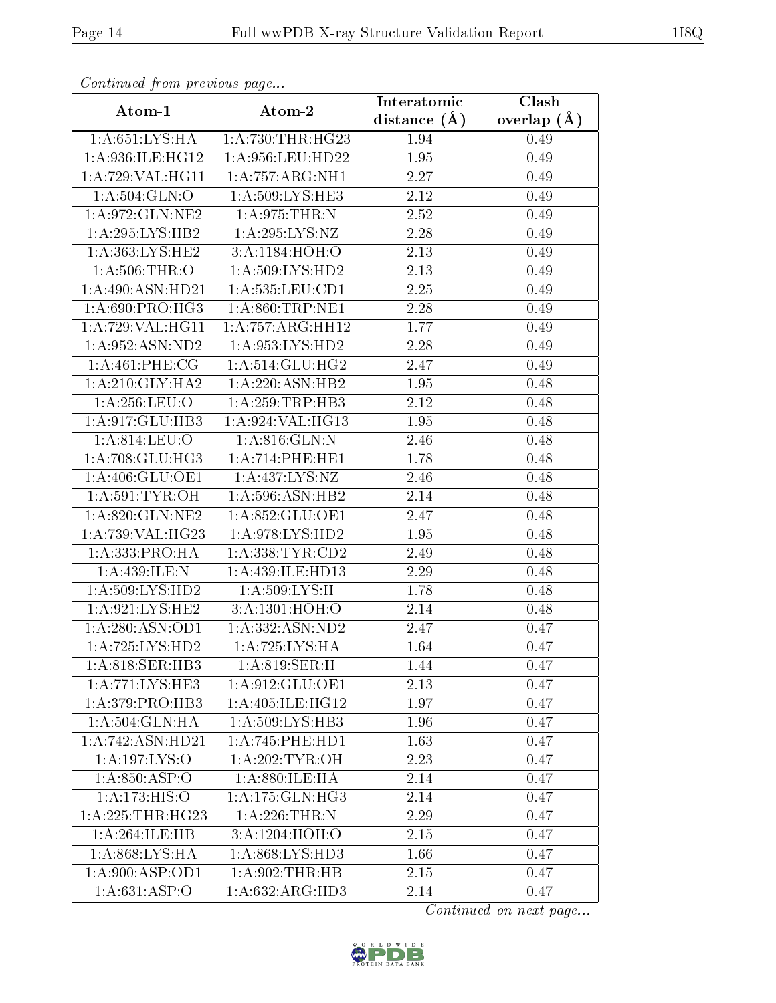| Commuca from previous page |                                         | Interatomic       | Clash           |  |
|----------------------------|-----------------------------------------|-------------------|-----------------|--|
| Atom-1                     | Atom-2                                  | distance $(A)$    | overlap $(\AA)$ |  |
| 1: A:651:LYS:HA            | 1: A:730:THR:HG23                       | 1.94              | 0.49            |  |
| 1:A:936:ILE:HG12           | 1:A:956:LEU:HD22                        | 1.95              | 0.49            |  |
| 1:A:729:VAL:HG11           | 1: A:757: ARG:NH1                       | 2.27              | 0.49            |  |
| 1: A:504: GLN:O            | 1:A:509:LYS:HE3                         | 2.12              | 0.49            |  |
| 1:A:972:GLN:NE2            | 1: A:975:THR:N                          | $\overline{2.52}$ | 0.49            |  |
| 1:A:295:LYS:HB2            | 1: A:295:LYS:NZ                         | 2.28              | 0.49            |  |
| 1: A: 363: LYS: HE2        | 3:A:1184:HOH:O                          | 2.13              | 0.49            |  |
| 1: A:506:THR:O             | 1: A:509: LYS: HD2                      | 2.13              | 0.49            |  |
| 1:A:490:ASN:HD21           | 1: A: 535: LEU: CD1                     | 2.25              | 0.49            |  |
| 1: A:690: PRO:HG3          | 1: A:860:TRP:NE1                        | 2.28              | 0.49            |  |
| 1:A:729:VAL:HG11           | 1:A:757:ARG:HH12                        | 1.77              | 0.49            |  |
| 1:A:952:ASN:ND2            | 1: A: 953: LYS: HD2                     | 2.28              | 0.49            |  |
| 1:A:461:PHE:CG             | 1:A:514:GLU:HG2                         | 2.47              | 0.49            |  |
| 1: A:210: GLY:HA2          | 1:A:220:ASN:HB2                         | 1.95              | 0.48            |  |
| 1:A:256:LEU:O              | 1:A:259:TRP:HB3                         | 2.12              | 0.48            |  |
| 1:A:917:GLU:HB3            | 1:A:924:VAL:HG13                        | 1.95              | 0.48            |  |
| 1: A:814:LEU:O             | 1:A:816:GLN:N                           | 2.46              | 0.48            |  |
| 1: A:708: GLU:HG3          | 1: A:714:PHE:HE1                        | 1.78              | 0.48            |  |
| 1:A:406:GLU:OE1            | 1: A: 437: LYS: NZ                      | 2.46              | 0.48            |  |
| 1: A:591:TYR:OH            | 1:A:596:ASN:HB2                         | 2.14              | 0.48            |  |
| 1:A:820:GLN:NE2            | 1:A:852:GLU:OE1                         | 2.47              | 0.48            |  |
| 1:A:739:VAL:HG23           | 1: A:978: LYS: HD2                      | 1.95              | 0.48            |  |
| 1:A:333:PRO:HA             | 1: A: 338: TYR: CD2                     | 2.49              | 0.48            |  |
| 1:A:439:ILE:N              | 1:A:439:ILE:HD13                        | 2.29              | 0.48            |  |
| 1: A:509: LYS: HD2         | 1: A:509: LYS:H                         | 1.78              | 0.48            |  |
| 1: A:921: LYS: HE2         | 3:A:1301:HOH:O                          | 2.14              | 0.48            |  |
| 1: A:280: ASN:OD1          | 1:A:332:ASN:ND2                         | 2.47              | 0.47            |  |
| 1:A:725:LYS:HD2            | $1:A:725:LYS:\overline{HA}$             | 1.64              | 0.47            |  |
| 1: A:818: SER: HB3         | 1:A:819:SER:H                           | 1.44              | 0.47            |  |
| 1:A:771:LYS:HE3            | 1:A:912:GLU:OE1                         | 2.13              | 0.47            |  |
| 1: A:379: PRO:HB3          | 1:A:405:ILE:HG12                        | 1.97              | 0.47            |  |
| 1:A:504:GLN:HA             | 1: A:509: LYS: HB3                      | 1.96              | 0.47            |  |
| 1:A:742:ASN:HD21           | 1:A:745:PHE:HD1                         | 1.63              | 0.47            |  |
| 1:A:197:LYS:O              | 1: A:202:TYR:OH                         | 2.23              | 0.47            |  |
| 1: A:850: ASP:O            | 1:A:880:ILE:HA                          | 2.14              | 0.47            |  |
| $1:A:173:\overline{HIS:O}$ | 1: A: 175: GLN: HG3                     | 2.14              | 0.47            |  |
| 1: A:225:THR:HG23          | 1: A:226:THR:N                          | 2.29              | 0.47            |  |
| 1:A:264:ILE:HB             | 3:A:1204:H <sub>0</sub> H <sub>:0</sub> | 2.15              | 0.47            |  |
| 1:A:868:LYS:HA             | 1:A:868:LYS:HD3                         | 1.66              | 0.47            |  |
| 1:A:900:ASP:OD1            | 1: A:902:THR:HB                         | 2.15              | 0.47            |  |
| 1: A:631:ASP:O             | 1:A:632:ARG:HD3                         | 2.14              | 0.47            |  |

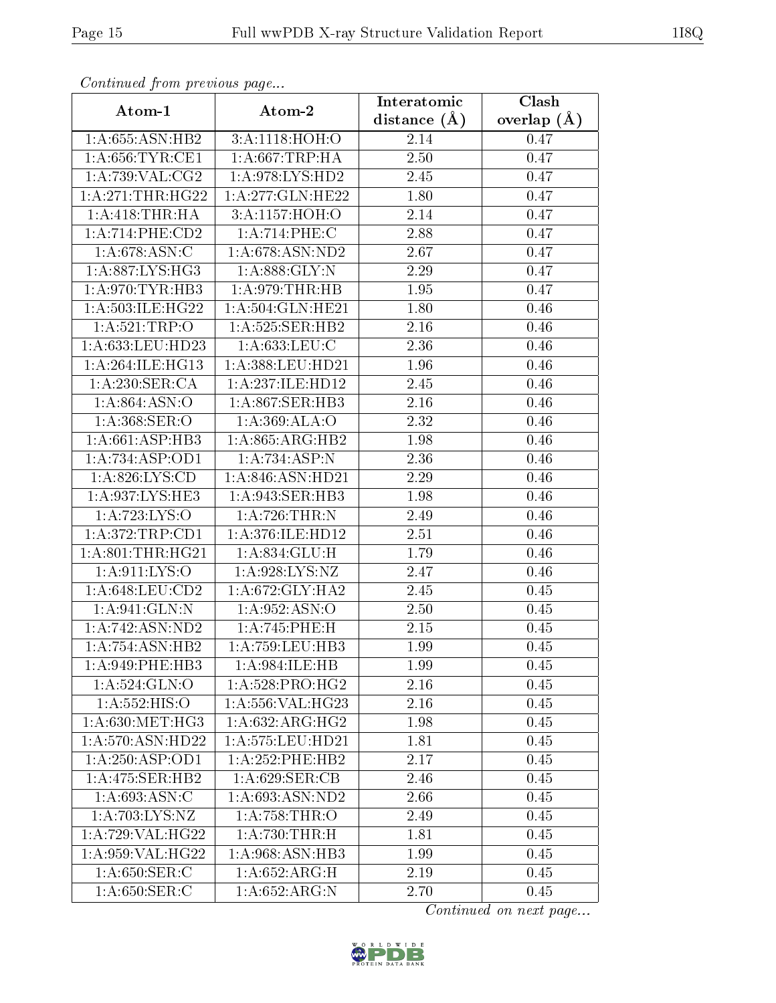| Commaca from previous page<br>Interatomic<br>Clash |                                  |                  |               |  |
|----------------------------------------------------|----------------------------------|------------------|---------------|--|
| Atom-1                                             | Atom-2                           | distance $(\AA)$ | overlap $(A)$ |  |
| 1:A:655:ASN:HB2                                    | 3:A:1118:HOH:O                   | 2.14             | 0.47          |  |
| 1: A:656:TYR:CE1                                   | 1: A:667:TRP:HA                  | 2.50             | 0.47          |  |
| 1: A:739: VAL: CG2                                 | 1: A:978: LYS: HD2               | 2.45             | 0.47          |  |
| 1: A:271:THR:HG22                                  | 1:A:277:GLN:HE22                 | 1.80             | 0.47          |  |
| 1: A:418:THR:HA                                    | 3:A:1157:HOH:O                   | 2.14             | 0.47          |  |
| 1: A:714:PHE:CD2                                   | 1:A:714:PHE:C                    | 2.88             | 0.47          |  |
| 1: A:678: ASN:C                                    | 1:A:678:ASN:ND2                  | 2.67             | 0.47          |  |
| 1: A:887:LYS:HG3                                   | 1: A:888: GLY:N                  | 2.29             | 0.47          |  |
| 1: A:970: TYR: HB3                                 | 1:A:979:THR:HB                   | 1.95             | 0.47          |  |
| 1: A:503: ILE: HG22                                | 1:A:504:GLN:HE21                 | 1.80             | 0.46          |  |
| 1: A:521:TRP:O                                     | 1:A:525:SER:HB2                  | 2.16             | 0.46          |  |
| 1:A:633:LEU:HD23                                   | 1:A:633:LEU:C                    | 2.36             | 0.46          |  |
| 1: A:264: ILE: HG13                                | 1:A:388:LEU:HD21                 | 1.96             | 0.46          |  |
| 1:A:230:SER:CA                                     | 1:A:237:ILE:HD12                 | 2.45             | 0.46          |  |
| 1:A:864:ASN:O                                      | 1:A:867:SER:HB3                  | 2.16             | 0.46          |  |
| 1: A: 368: SER: O                                  | 1:A:369:ALA:O                    | 2.32             | 0.46          |  |
| 1:A:661:ASP:HB3                                    | 1:A:865:ARG:HB2                  | 1.98             | 0.46          |  |
| 1:A:734:ASP:OD1                                    | 1:A:734:ASP:N                    | 2.36             | 0.46          |  |
| 1: A:826: LYS:CD                                   | 1:A:846:ASN:HD21                 | 2.29             | 0.46          |  |
| 1:A:937:LYS:HE3                                    | 1:A:943:SER:HB3                  | 1.98             | 0.46          |  |
| 1:A:723:LYS:O                                      | 1:A:726:THR:N                    | 2.49             | 0.46          |  |
| 1: A:372:TRP:CD1                                   | 1: A:376: ILE: HD12              | 2.51             | 0.46          |  |
| 1: A:801:THR:HG21                                  | 1:A:834:GLU:H                    | 1.79             | 0.46          |  |
| 1: A:911: LYS:O                                    | 1:A:928:LYS:NZ                   | 2.47             | 0.46          |  |
| 1: A:648:LEU:CD2                                   | 1:A:672:GLY:HA2                  | 2.45             | 0.45          |  |
| 1: A:941: GLN:N                                    | 1:A:952:ASN:O                    | 2.50             | 0.45          |  |
| 1: A:742: ASN:ND2                                  | 1:A:745:PHE:H                    | 2.15             | 0.45          |  |
| 1:A:754:ASN:HB2                                    | 1: A:759:LEU:HB3                 | 1.99             | 0.45          |  |
| 1: A:949: PHE:HB3                                  | 1: A:984: ILE: HB                | 1.99             | 0.45          |  |
| 1: A:524: GLN:O                                    | 1:A:528:PRO:HG2                  | 2.16             | 0.45          |  |
| 1: A: 552: HIS: O                                  | $1: A: 556: V\overline{AL:HG23}$ | 2.16             | 0.45          |  |
| 1: A:630:MET:HG3                                   | 1: A:632: ARG: HG2               | 1.98             | 0.45          |  |
| 1:A:570:ASN:HD22                                   | 1:A:575:LEU:HD21                 | 1.81             | 0.45          |  |
| 1:A:250:ASP:OD1                                    | 1:A:252:PHE:HB2                  | 2.17             | 0.45          |  |
| 1: A:475: SER:HB2                                  | 1: A:629: SER:CB                 | 2.46             | 0.45          |  |
| 1: A:693:ASN:C                                     | 1:A:693:ASN:ND2                  | 2.66             | 0.45          |  |
| 1:A:703:LYS:NZ                                     | 1: A:758:THR:O                   | 2.49             | 0.45          |  |
| 1:A:729:VAL:HG22                                   | 1:A:730:THR:H                    | 1.81             | 0.45          |  |
| 1:A:959:VAL:HG22                                   | 1:A:968:ASN:HB3                  | 1.99             |               |  |
| 1:A:650:SER:C                                      | 1:A:652:ARG:H                    |                  | 0.45          |  |
|                                                    |                                  | 2.19             | 0.45          |  |
| 1:A:650:SER:C                                      | 1:A:652:ARG:N                    | 2.70             | 0.45          |  |

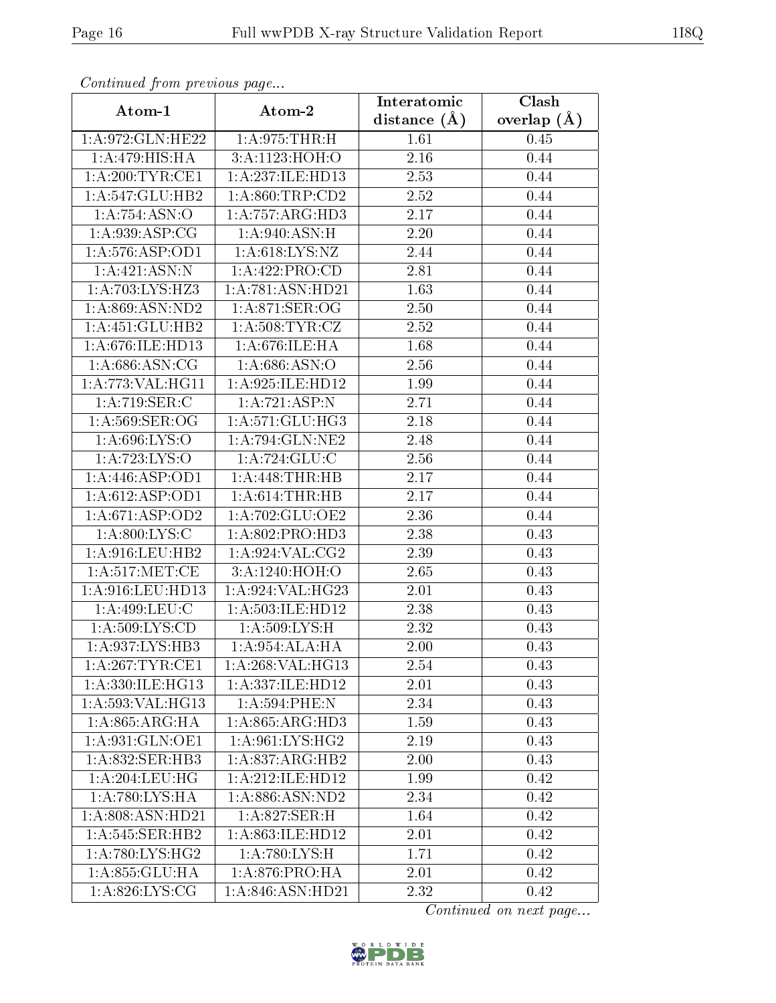| Continuati pom previous page |                    | Interatomic       | Clash           |
|------------------------------|--------------------|-------------------|-----------------|
| Atom-1                       | Atom-2             | distance $(A)$    | overlap $(\AA)$ |
| 1:A:972:GLN:HE22             | 1: A:975:THR:H     | 1.61              | 0.45            |
| 1:A:479:HIS:HA               | 3:A:1123:HOH:O     | 2.16              | 0.44            |
| 1: A:200: TYR: CE1           | 1:A:237:ILE:HD13   | 2.53              | 0.44            |
| 1:A:547:GLU:HB2              | 1: A:860:TRP:CD2   | 2.52              | 0.44            |
| 1:A:754:ASN:O                | 1:A:757:ARG:HD3    | 2.17              | 0.44            |
| 1: A:939: ASP:CG             | 1: A:940:ASN:H     | 2.20              | 0.44            |
| 1:A:576:ASP:OD1              | 1: A:618: LYS: NZ  | 2.44              | 0.44            |
| 1:A:421:ASN:N                | 1: A:422: PRO:CD   | 2.81              | 0.44            |
| 1:A:703:LYS:HZ3              | 1:A:781:ASN:HD21   | $\overline{1.63}$ | 0.44            |
| 1: A:869: ASN:ND2            | 1: A:871: SER:OG   | 2.50              | 0.44            |
| 1:A:451:GLU:HB2              | 1: A:508: TYR: CZ  | 2.52              | 0.44            |
| 1: A:676: ILE: HD13          | 1:A:676:ILE:HA     | 1.68              | 0.44            |
| 1: A:686: ASN:CG             | 1: A:686: ASN:O    | 2.56              | 0.44            |
| 1:A:773:VAL:HG11             | 1:A:925:ILE:HD12   | 1.99              | 0.44            |
| 1:A:719:SER:C                | 1:A:721:ASP:N      | 2.71              | 0.44            |
| 1: A:569: SER:OG             | 1: A:571: GLU:HG3  | 2.18              | 0.44            |
| 1:A:696:LYS:O                | 1: A:794: GLN: NE2 | 2.48              | 0.44            |
| 1:A:723:LYS:O                | 1:A:724:GLU:C      | 2.56              | 0.44            |
| 1:A:446:ASP:OD1              | 1:A:448:THR:HB     | 2.17              | 0.44            |
| 1:A:612:ASP:OD1              | 1: A:614:THR:HB    | 2.17              | 0.44            |
| 1: A:671: ASP:OD2            | 1:A:702:GLU:OE2    | 2.36              | 0.44            |
| 1: A:800: LYS:C              | 1: A:802: PRO:HD3  | 2.38              | 0.43            |
| 1:A:916:LEU:HB2              | 1: A:924: VAL: CG2 | 2.39              | 0.43            |
| 1: A:517: MET:CE             | 3:A:1240:HOH:O     | 2.65              | 0.43            |
| $1: A:916:$ LEU:HD13         | 1:A:924:VAL:HG23   | $2.01\,$          | 0.43            |
| 1:A:499:LEU:C                | 1:A:503:ILE:HD12   | 2.38              | 0.43            |
| 1:A:509:LYS:CD               | 1: A:509: LYS:H    | 2.32              | 0.43            |
| 1:A:937:LYS:HB3              | 1:A:954:ALA:HA     | 2.00              | 0.43            |
| 1: A:267:TYR:CE1             | 1:A:268:VAL:HG13   | 2.54              | 0.43            |
| 1:A:330:ILE:HG13             | 1:A:337:ILE:HD12   | 2.01              | 0.43            |
| 1: A: 593: VAL: HG13         | 1:A:594:PHE:N      | 2.34              | 0.43            |
| 1: A:865: ARG: HA            | 1:A:865:ARG:HD3    | 1.59              | 0.43            |
| 1: A:931: GLN:OE1            | 1: A:961:LYS:HG2   | 2.19              | 0.43            |
| 1: A:832: SER:HB3            | 1:A:837:ARG:HB2    | 2.00              | 0.43            |
| 1: A:204:LEU:HG              | 1:A:212:ILE:HD12   | 1.99              | 0.42            |
| 1: A:780: LYS: HA            | 1:A:886:ASN:ND2    | 2.34              | 0.42            |
| 1:A:808:ASN:HD21             | 1:A:827:SER:H      | 1.64              | 0.42            |
| 1:A:545:SER:HB2              | 1:A:863:ILE:HD12   | 2.01              | 0.42            |
| 1: A:780: LYS: HG2           | 1: A:780: LYS:H    | 1.71              | 0.42            |
| 1:A:855:GLU:HA               | 1:A:876:PRO:HA     | 2.01              | 0.42            |
| 1: A:826: LYS: CG            | 1:A:846:ASN:HD21   | 2.32              | 0.42            |

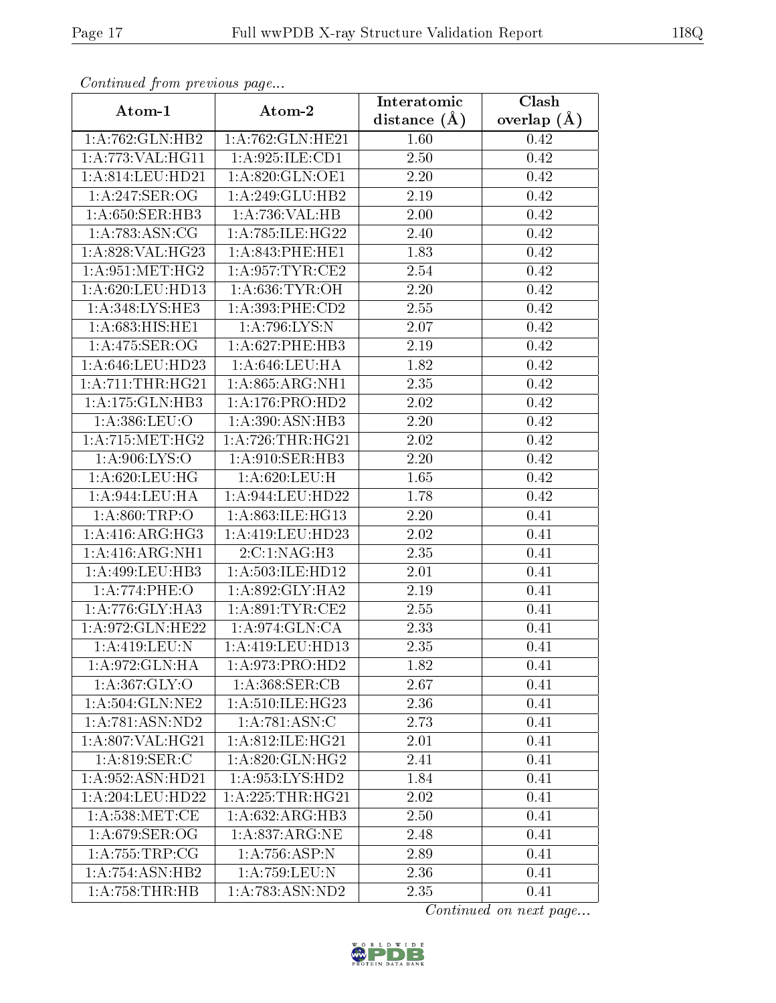|                              | сонинией јтоні ртеvious раде<br>Clash<br>Interatomic |                   |               |  |  |  |
|------------------------------|------------------------------------------------------|-------------------|---------------|--|--|--|
| Atom-1                       | Atom-2                                               | distance $(A)$    | overlap $(A)$ |  |  |  |
| 1:A:762:GLN:HB2              | 1:A:762:GLN:HE21                                     | 1.60              | 0.42          |  |  |  |
| 1:A:773:VAL:HG11             | 1:A:925:ILE:CD1                                      | 2.50              | 0.42          |  |  |  |
| 1: A:814:LEU:HD21            | $1:$ A:820:GLN:OE1                                   | 2.20              | 0.42          |  |  |  |
| 1:A:247:SER:OG               | 1:A:249:GLU:HB2                                      | 2.19              | 0.42          |  |  |  |
| 1: A:650: SER:HB3            | 1:A:736:VAL:HB                                       | 2.00              | 0.42          |  |  |  |
| 1: A:783: ASN:CG             | 1:A:785:ILE:HG22                                     | 2.40              | 0.42          |  |  |  |
| 1:A:828:VAL:HG23             | 1: A:843:PHE:HE1                                     | 1.83              | 0.42          |  |  |  |
| 1: A:951: MET:HG2            | 1: A:957:TYR:CE2                                     | 2.54              | 0.42          |  |  |  |
| 1: A:620: LEU: HD13          | 1: A:636: TYR:OH                                     | 2.20              | 0.42          |  |  |  |
| 1:A:348:LYS:HE3              | 1:A:393:PHE:CD2                                      | 2.55              | 0.42          |  |  |  |
| 1:A:683:HIS:HET              | 1:A:796:LYS:N                                        | 2.07              | 0.42          |  |  |  |
| 1:A:475:SER:OG               | 1:A:627:PHE:HB3                                      | $\overline{2}.19$ | 0.42          |  |  |  |
| 1: A:646:LEU:HD23            | 1: A:646:LEU:HA                                      | 1.82              | 0.42          |  |  |  |
| $1: A: 711: THR: HG21$       | 1: A:865: ARG:NH1                                    | 2.35              | 0.42          |  |  |  |
| 1:A:175:GLN:HB3              | 1:A:176:PRO:HD2                                      | 2.02              | 0.42          |  |  |  |
| 1: A:386: LEU:O              | 1:A:390:ASN:HB3                                      | 2.20              | 0.42          |  |  |  |
| 1: A: 715: MET: HG2          | 1: A:726:THR:HG21                                    | 2.02              | 0.42          |  |  |  |
| $1: A:906: LY\overline{S:O}$ | 1:A:910:SER:HB3                                      | 2.20              | 0.42          |  |  |  |
| $1:\overline{A:620:LEU:HG}$  | 1: A:620: LEU:H                                      | 1.65              | 0.42          |  |  |  |
| 1: A:944:LEU:HA              | 1: A:944:LEU:HD22                                    | 1.78              | 0.42          |  |  |  |
| 1: A:860:TRP:O               | 1:A:863:ILE:HG13                                     | $2.20\,$          | 0.41          |  |  |  |
| 1: A:416: ARG: HG3           | 1:A:419:LEU:HD23                                     | 2.02              | 0.41          |  |  |  |
| 1:A:416:ARG:NH1              | 2:C:1:NAG:H3                                         | 2.35              | 0.41          |  |  |  |
| 1:A:499:LEU:HB3              | 1:A:503:ILE:HD12                                     | 2.01              | 0.41          |  |  |  |
| 1:A:774:PHE:O                | 1:A:892:GLY:HA2                                      | 2.19              | 0.41          |  |  |  |
| 1: A:776: GLY:HA3            | 1: A:891:TTYR:CE2                                    | 2.55              | 0.41          |  |  |  |
| 1:A:972:GLN:HE22             | 1:A:974:GLN:CA                                       | 2.33              | 0.41          |  |  |  |
| 1:A:419:LEU:N                | 1:A:419:LEU:HD13                                     | 2.35              | 0.41          |  |  |  |
| 1:A:972:GLN:HA               | 1: A:973: PRO:HD2                                    | 1.82              | 0.41          |  |  |  |
| 1: A: 367: GLY: O            | 1: A:368: SER:CB                                     | 2.67              | 0.41          |  |  |  |
| 1: A:504: GLN: NE2           | 1: A:510: ILE: HG23                                  | 2.36              | 0.41          |  |  |  |
| 1: A:781: ASN:ND2            | 1:A:781:ASN:C                                        | 2.73              | 0.41          |  |  |  |
| 1: A:807: VAL:HG21           | 1: A:812: ILE: HG21                                  | 2.01              | 0.41          |  |  |  |
| 1: A:819: SER:C              | 1: A:820: GLN: HG2                                   | 2.41              | 0.41          |  |  |  |
| 1: A:952: ASN:HD21           | 1: A:953: LYS: HD2                                   | 1.84              | 0.41          |  |  |  |
| 1: A:204:LEU:HD22            | 1: A:225:THR:HG21                                    | 2.02              | 0.41          |  |  |  |
| 1: A:538: MET:CE             | $1:A:632:ARG:H\overline{B3}$                         | 2.50              | 0.41          |  |  |  |
| 1: A:679: SER:OG             | 1:A:837:ARG:NE                                       | 2.48              | 0.41          |  |  |  |
| 1: A:755:TRP:CG              | $1:A:756:ASP:\overline{N}$                           | 2.89              | 0.41          |  |  |  |
| $1:A:754:\overline{ASN:HB2}$ | 1:A:759:LEU:N                                        | 2.36              | 0.41          |  |  |  |
| 1:A:758:THR:HB               | 1:A:783:ASN:ND2                                      | 2.35              | 0.41          |  |  |  |

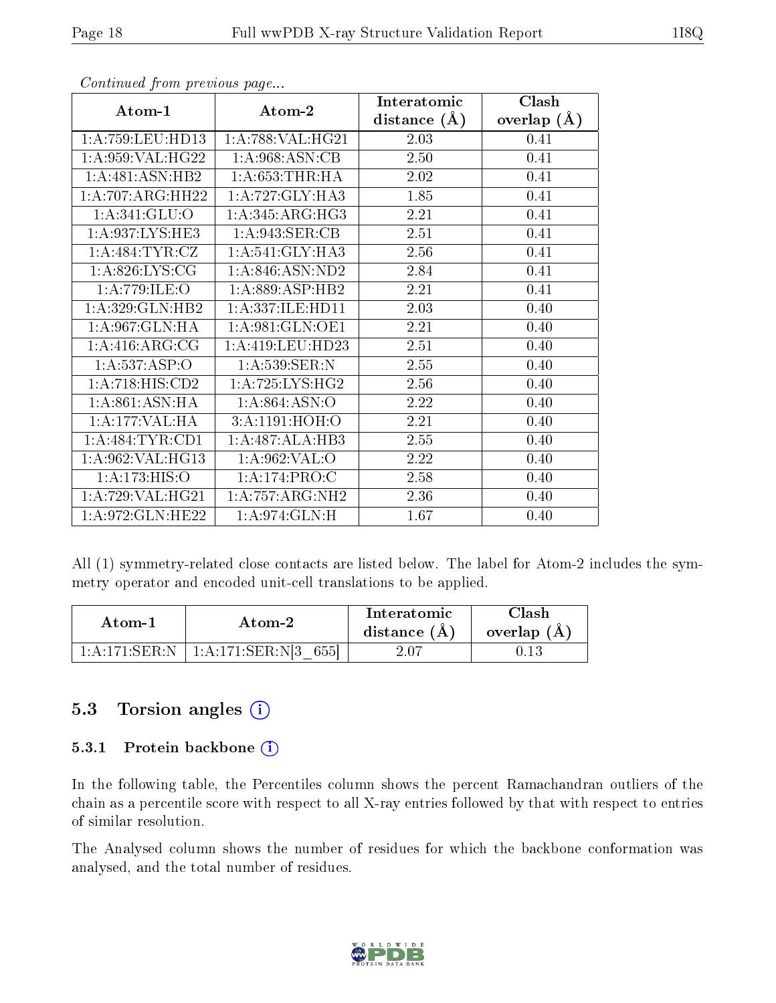|                      |                      | Interatomic    | Clash         |
|----------------------|----------------------|----------------|---------------|
| Atom-1               | Atom-2               | distance $(A)$ | overlap $(A)$ |
| 1: A: 759: LEU: HD13 | 1: A:788: VAL:HG21   | 2.03           | 0.41          |
| 1: A:959: VAL:HG22   | 1:A:968:ASN:CB       | 2.50           | 0.41          |
| 1:A:481:ASN:HB2      | 1: A: 653: THR: HA   | 2.02           | 0.41          |
| 1:A:707:ARG:HH22     | 1:A:727:GLY:HA3      | 1.85           | 0.41          |
| 1: A:341: GLU:O      | 1: A:345: ARG:HG3    | 2.21           | 0.41          |
| 1: A:937: LYS: HE3   | 1: A:943: SER:CB     | 2.51           | 0.41          |
| 1: A:484:TYR:CZ      | 1:A:541:GLY:HA3      | 2.56           | 0.41          |
| 1:A:826:LYS:CG       | 1: A:846: ASN:ND2    | 2.84           | 0.41          |
| 1: A:779: ILE: O     | 1:A:889:ASP:HB2      | 2.21           | 0.41          |
| 1:A:329:GLN:HB2      | 1:A:337:ILE:HD11     | 2.03           | 0.40          |
| 1: A:967: GLN: HA    | 1: A:981: GLN:OE1    | 2.21           | 0.40          |
| 1:A:416:ARG:CG       | 1: A: 419: LEU: HD23 | 2.51           | 0.40          |
| 1:A:537:ASP:O        | 1: A:539:SER:N       | 2.55           | 0.40          |
| 1:A:718:HIS:CD2      | 1: A:725: LYS: HG2   | 2.56           | 0.40          |
| 1: A:861: ASN:HA     | 1:A:864:ASN:O        | 2.22           | 0.40          |
| 1:A:177:VAL:HA       | 3:A:1191:HOH:O       | 2.21           | 0.40          |
| 1: A:484:TYR:CD1     | 1:A:487:ALA:HB3      | 2.55           | 0.40          |
| 1:A:962:VAL:HG13     | $1:$ A:962:VAL:O     | 2.22           | 0.40          |
| 1: A:173: HIS:O      | 1: A:174: PRO:C      | 2.58           | 0.40          |
| 1:A:729:VAL:HG21     | 1:A:757:ARG:NH2      | 2.36           | 0.40          |
| 1:A:972:GLN:HE22     | 1: A:974: GLN: H     | 1.67           | 0.40          |

All (1) symmetry-related close contacts are listed below. The label for Atom-2 includes the symmetry operator and encoded unit-cell translations to be applied.

| Atom-1        | Atom-2               | Interatomic<br>distance $(A)$ | <b>Clash</b><br>overlap $(A)$ |
|---------------|----------------------|-------------------------------|-------------------------------|
| 1:A:171:SER:N | 1:A:171:SER:N[3 655] | $2.07\,$                      |                               |

#### 5.3 Torsion angles (i)

#### 5.3.1 Protein backbone (i)

In the following table, the Percentiles column shows the percent Ramachandran outliers of the chain as a percentile score with respect to all X-ray entries followed by that with respect to entries of similar resolution.

The Analysed column shows the number of residues for which the backbone conformation was analysed, and the total number of residues.

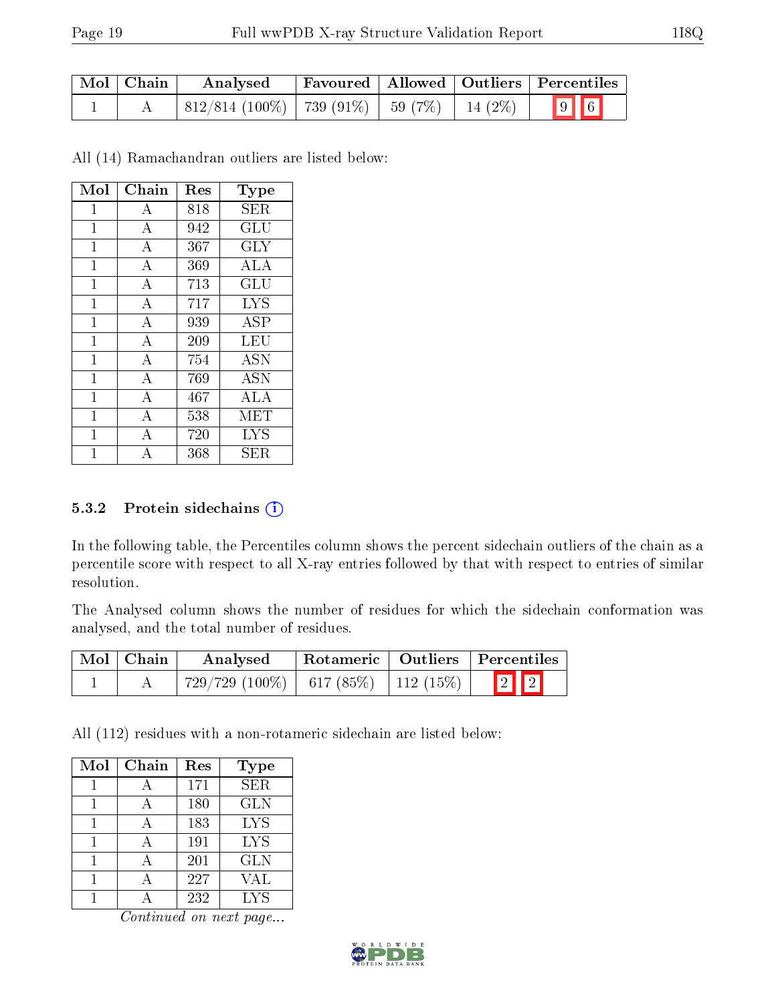| Mol   Chain | Analysed                                                                            |  | $\mid$ Favoured $\mid$ Allowed $\mid$ Outliers $\mid$ Percentiles $\mid$ |
|-------------|-------------------------------------------------------------------------------------|--|--------------------------------------------------------------------------|
|             | $\mid 812/814 \; (100\%) \mid 739 \; (91\%) \mid 59 \; (7\%) \mid 14 \; (2\%) \mid$ |  | $\boxed{9}$ 6                                                            |

All (14) Ramachandran outliers are listed below:

| Mol | Chain          | Res | Type                 |
|-----|----------------|-----|----------------------|
| 1   | А              | 818 | SER                  |
| 1   | А              | 942 | GLU                  |
| 1   | $\bf{A}$       | 367 | GLY                  |
| 1   | А              | 369 | <b>ALA</b>           |
| 1   | $\bf{A}$       | 713 | $\operatorname{GLU}$ |
| 1   | А              | 717 | <b>LYS</b>           |
| 1   | $\bf{A}$       | 939 | ASP                  |
| 1   | А              | 209 | LEU                  |
| 1   | $\bf{A}$       | 754 | <b>ASN</b>           |
| 1   | $\overline{A}$ | 769 | $\overline{A}$ SN    |
| 1   | $\bf{A}$       | 467 | ALA                  |
| 1   | $\overline{A}$ | 538 | MET                  |
| 1   | $\overline{A}$ | 720 | <b>LYS</b>           |
| 1   | А              | 368 | ${\rm SER}$          |

#### 5.3.2 Protein sidechains  $(i)$

In the following table, the Percentiles column shows the percent sidechain outliers of the chain as a percentile score with respect to all X-ray entries followed by that with respect to entries of similar resolution.

The Analysed column shows the number of residues for which the sidechain conformation was analysed, and the total number of residues.

| $\mid$ Mol $\mid$ Chain | Analysed                                          |  | Rotameric   Outliers   Percentiles |
|-------------------------|---------------------------------------------------|--|------------------------------------|
|                         | $729/729$ $(100\%)$   617 $(85\%)$   112 $(15\%)$ |  | $\boxed{2}$ $\boxed{2}$            |

All (112) residues with a non-rotameric sidechain are listed below:

| Mol | Chain | Res | <b>Type</b> |
|-----|-------|-----|-------------|
|     |       | 171 | <b>SER</b>  |
|     |       | 180 | <b>GLN</b>  |
|     | A     | 183 | <b>LYS</b>  |
|     |       | 191 | <b>LYS</b>  |
|     |       | 201 | <b>GLN</b>  |
|     |       | 227 | VAL         |
|     |       | 232 | <b>LYS</b>  |

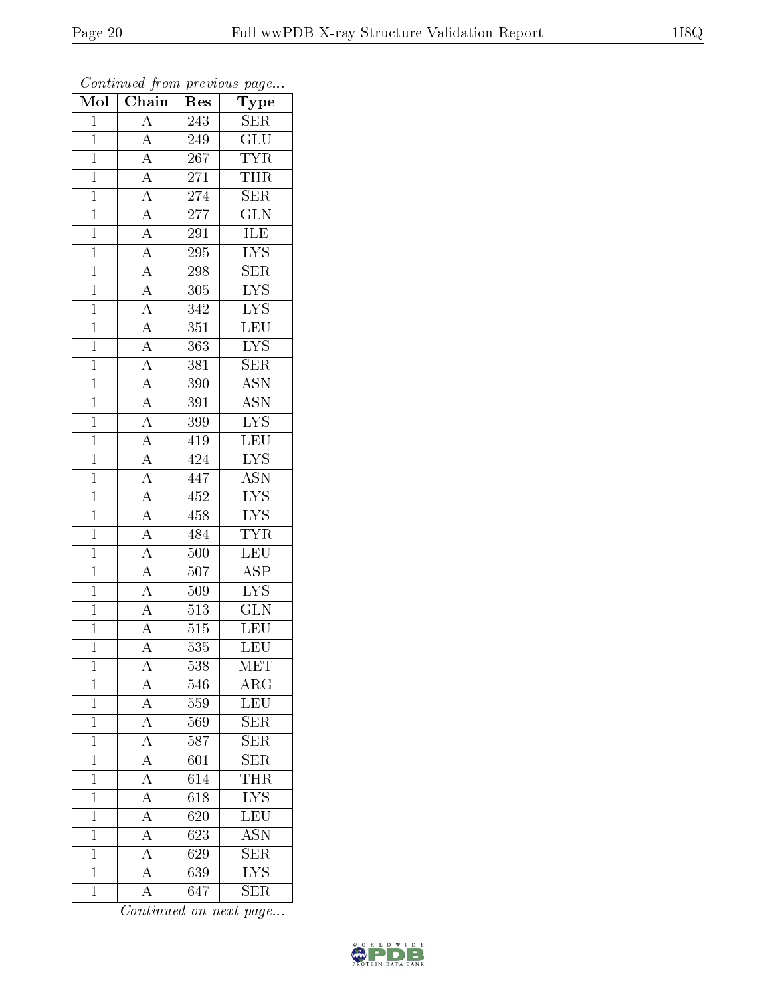| $\overline{\text{Mol}}$ | $\boldsymbol{\mathcal{S}}$ .<br>$\overline{\text{Chain}}$                                                                                                                                                                                                                                                                                                                               | r -<br>Res       | x.<br>س ⊶<br>Type         |
|-------------------------|-----------------------------------------------------------------------------------------------------------------------------------------------------------------------------------------------------------------------------------------------------------------------------------------------------------------------------------------------------------------------------------------|------------------|---------------------------|
| $\mathbf{1}$            | $\overline{A}$                                                                                                                                                                                                                                                                                                                                                                          | 243              | <b>SER</b>                |
| $\overline{1}$          | $\overline{A}$                                                                                                                                                                                                                                                                                                                                                                          | 249              | $\overline{GLU}$          |
| $\overline{1}$          |                                                                                                                                                                                                                                                                                                                                                                                         | $\overline{267}$ | <b>TYR</b>                |
| $\overline{1}$          |                                                                                                                                                                                                                                                                                                                                                                                         | 271              | <b>THR</b>                |
| $\overline{1}$          |                                                                                                                                                                                                                                                                                                                                                                                         | 274              | SER                       |
| $\overline{1}$          |                                                                                                                                                                                                                                                                                                                                                                                         | 277              | $\overline{\text{GLN}}$   |
| $\overline{1}$          |                                                                                                                                                                                                                                                                                                                                                                                         | 291              | ILE                       |
| $\mathbf{1}$            |                                                                                                                                                                                                                                                                                                                                                                                         | 295              | $\overline{\text{LYS}}$   |
| $\overline{1}$          |                                                                                                                                                                                                                                                                                                                                                                                         | 298              | <b>SER</b>                |
| $\overline{1}$          |                                                                                                                                                                                                                                                                                                                                                                                         | 305              | $\overline{\text{LYS}}$   |
| $\mathbf{1}$            |                                                                                                                                                                                                                                                                                                                                                                                         | 342              | <b>LYS</b>                |
| $\mathbf{1}$            |                                                                                                                                                                                                                                                                                                                                                                                         | $\overline{351}$ | $\overline{\text{LEU}}$   |
| $\mathbf{1}$            |                                                                                                                                                                                                                                                                                                                                                                                         | 363              | <b>LYS</b>                |
| $\mathbf{1}$            |                                                                                                                                                                                                                                                                                                                                                                                         | 381              | $\overline{\text{SER}}$   |
| $\overline{1}$          |                                                                                                                                                                                                                                                                                                                                                                                         | 390              | $\overline{\mathrm{ASN}}$ |
| $\mathbf{1}$            | $\frac{\overline{A}}{\overline{A}} \frac{\overline{A}}{\overline{A}} \frac{\overline{A}}{\overline{A}} \frac{\overline{A}}{\overline{A}} \frac{\overline{A}}{\overline{A}} \frac{\overline{A}}{\overline{A}} \frac{\overline{A}}{\overline{A}} \frac{\overline{A}}{\overline{A}} \frac{\overline{A}}{\overline{A}} \frac{\overline{A}}{\overline{A}} \frac{\overline{A}}{\overline{A}}$ | 391              | <b>ASN</b>                |
| $\mathbf{1}$            |                                                                                                                                                                                                                                                                                                                                                                                         | 399              | $\overline{\text{LYS}}$   |
| $\overline{1}$          |                                                                                                                                                                                                                                                                                                                                                                                         | 419              | <b>LEU</b>                |
| $\overline{1}$          |                                                                                                                                                                                                                                                                                                                                                                                         | 424              | $\overline{\text{LYS}}$   |
| $\overline{1}$          |                                                                                                                                                                                                                                                                                                                                                                                         | 447              | $\overline{\text{ASN}}$   |
| $\mathbf{1}$            |                                                                                                                                                                                                                                                                                                                                                                                         | 452              | $\overline{\text{LYS}}$   |
| $\overline{1}$          |                                                                                                                                                                                                                                                                                                                                                                                         | 458              | $\overline{\text{LYS}}$   |
| $\overline{1}$          |                                                                                                                                                                                                                                                                                                                                                                                         | 484              | <b>TYR</b>                |
| $\overline{1}$          |                                                                                                                                                                                                                                                                                                                                                                                         | 500              | $\overline{\text{LEU}}$   |
| $\overline{1}$          | $\overline{A}$                                                                                                                                                                                                                                                                                                                                                                          | $\overline{507}$ | $\overline{\text{ASP}}$   |
| $\mathbf{1}$            | $\overline{A}$                                                                                                                                                                                                                                                                                                                                                                          | 509              | $\overline{\text{LYS}}$   |
| $\overline{1}$          | $\frac{\overline{A}}{\overline{A}}$                                                                                                                                                                                                                                                                                                                                                     | 513              | $\overline{\text{GLN}}$   |
| $\overline{1}$          |                                                                                                                                                                                                                                                                                                                                                                                         | 515              | $\overline{\text{LEU}}$   |
| $\overline{1}$          | $\overline{\rm A}$                                                                                                                                                                                                                                                                                                                                                                      | $\overline{535}$ | $\overline{\text{LEU}}$   |
| $\mathbf 1$             | $\rm A$                                                                                                                                                                                                                                                                                                                                                                                 | 538              | MET                       |
| $\mathbf{1}$            | $\boldsymbol{A}$                                                                                                                                                                                                                                                                                                                                                                        | 546              | $\rm{ARG}$                |
| $\mathbf{1}$            | $\frac{\overline{A}}{\overline{A}}$                                                                                                                                                                                                                                                                                                                                                     | 559              | LEU                       |
| $\mathbf{1}$            |                                                                                                                                                                                                                                                                                                                                                                                         | 569              | <b>SER</b>                |
| $\overline{1}$          | $\frac{\overline{A}}{\overline{A}}$                                                                                                                                                                                                                                                                                                                                                     | $\overline{587}$ | $\overline{\text{SER}}$   |
| $\mathbf 1$             |                                                                                                                                                                                                                                                                                                                                                                                         | 601              | SER                       |
| $\mathbf 1$             | $\frac{\overline{A}}{\underline{A}}$                                                                                                                                                                                                                                                                                                                                                    | 614              | <b>THR</b>                |
| $\mathbf 1$             |                                                                                                                                                                                                                                                                                                                                                                                         | 618              | $\overline{\text{LYS}}$   |
| $\overline{1}$          | $\overline{A}$                                                                                                                                                                                                                                                                                                                                                                          | 620              | $\overline{\text{LEU}}$   |
| $\mathbf{1}$            | $\overline{A}$                                                                                                                                                                                                                                                                                                                                                                          | 623              | $\overline{\mathrm{ASN}}$ |
| $\mathbf{1}$            | $\overline{A}$                                                                                                                                                                                                                                                                                                                                                                          | 629              | <b>SER</b>                |
| $\mathbf 1$             | $\overline{A}$                                                                                                                                                                                                                                                                                                                                                                          | 639              | $\overline{\text{LYS}}$   |
| $\mathbf{1}$            | $\overline{\rm A}$                                                                                                                                                                                                                                                                                                                                                                      | 647              | <b>SER</b>                |

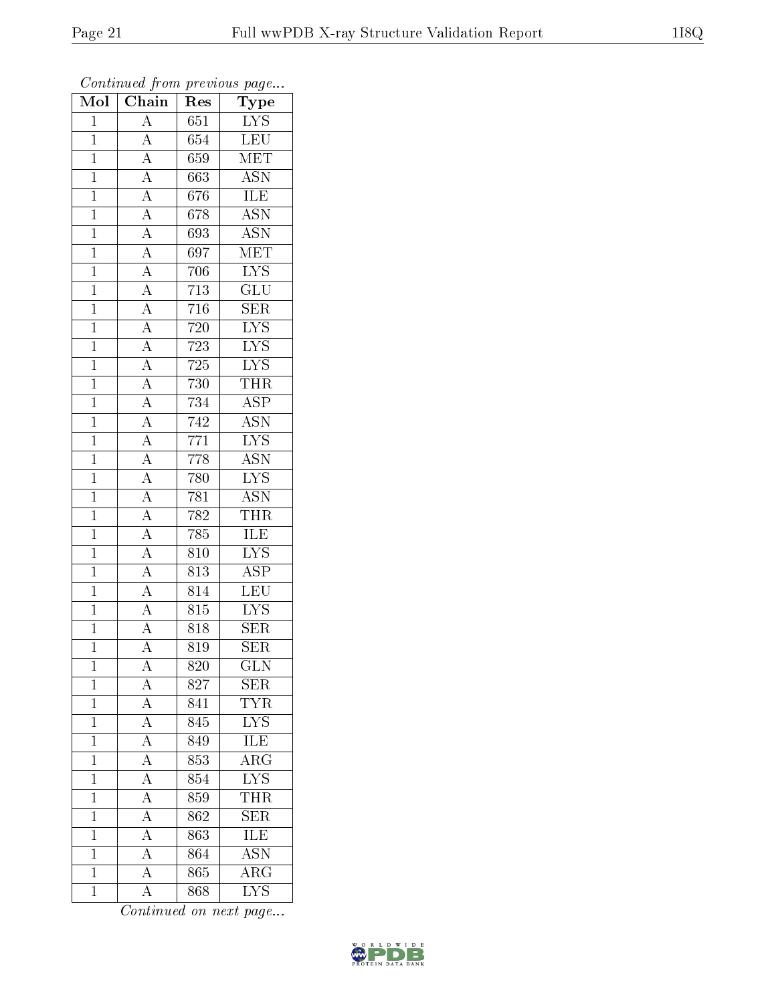| $\overline{\text{Mol}}$ | $\overline{\phantom{a}}$<br>$\overline{\text{Chain}}$                                                                                                                                                                                                                      | r -<br>Res        | x.<br>$\overline{ }$<br>Type |
|-------------------------|----------------------------------------------------------------------------------------------------------------------------------------------------------------------------------------------------------------------------------------------------------------------------|-------------------|------------------------------|
| $\mathbf{1}$            | $\overline{A}$                                                                                                                                                                                                                                                             | 651               | $\overline{\text{LYS}}$      |
| $\overline{1}$          | $\overline{A}$                                                                                                                                                                                                                                                             | 654               | LEU                          |
| $\overline{1}$          |                                                                                                                                                                                                                                                                            | 659               | $\overline{\text{MET}}$      |
| $\overline{1}$          |                                                                                                                                                                                                                                                                            | 663               | $\overline{\text{ASN}}$      |
| $\overline{1}$          | $\frac{\overline{A}}{\overline{A}}$ $\frac{\overline{A}}{\overline{A}}$                                                                                                                                                                                                    | 676               | <b>ILE</b>                   |
| $\overline{1}$          |                                                                                                                                                                                                                                                                            | 678               | $\overline{\text{ASN}}$      |
| $\mathbf 1$             |                                                                                                                                                                                                                                                                            | 693               | $\overline{\text{ASN}}$      |
| $\mathbf{1}$            |                                                                                                                                                                                                                                                                            | 697               | $\overline{\text{MET}}$      |
| $\overline{1}$          |                                                                                                                                                                                                                                                                            | 706               | $\overline{\text{LYS}}$      |
| $\overline{1}$          |                                                                                                                                                                                                                                                                            | $\overline{713}$  | $\overline{\text{GLU}}$      |
| $\mathbf{1}$            |                                                                                                                                                                                                                                                                            | 716               | $\overline{\text{SER}}$      |
| $\mathbf{1}$            |                                                                                                                                                                                                                                                                            | 720               | $\overline{\text{LYS}}$      |
| $\mathbf{1}$            |                                                                                                                                                                                                                                                                            | $\overline{723}$  | IYS                          |
| $\mathbf{1}$            | $\frac{\overline{A}}{\overline{A}}\frac{\overline{A}}{\overline{A}}\frac{\overline{A}}{\overline{A}}\frac{\overline{A}}{\overline{A}}\frac{\overline{A}}{\overline{A}}\frac{\overline{A}}{\overline{A}}\frac{\overline{A}}{\overline{A}}\frac{\overline{A}}{\overline{A}}$ | 725               | $\overline{\text{LYS}}$      |
| $\overline{1}$          |                                                                                                                                                                                                                                                                            | 730               | <b>THR</b>                   |
| $\mathbf{1}$            |                                                                                                                                                                                                                                                                            | 734               | <b>ASP</b>                   |
| $\mathbf{1}$            |                                                                                                                                                                                                                                                                            | $\overline{742}$  | $\overline{\text{ASN}}$      |
| $\mathbf{1}$            |                                                                                                                                                                                                                                                                            | $\overline{77}1$  | $\overline{\text{LYS}}$      |
| $\overline{1}$          |                                                                                                                                                                                                                                                                            | 778               | $\overline{\text{ASN}}$      |
| $\mathbf{1}$            |                                                                                                                                                                                                                                                                            | $\overline{780}$  | $\overline{\text{LYS}}$      |
| $\mathbf{1}$            |                                                                                                                                                                                                                                                                            | 781               | <b>ASN</b>                   |
| $\overline{1}$          |                                                                                                                                                                                                                                                                            | 782               | <b>THR</b>                   |
| $\mathbf{1}$            |                                                                                                                                                                                                                                                                            | 785               | ILE                          |
| $\overline{1}$          | $\overline{A}$                                                                                                                                                                                                                                                             | 810               | $\overline{\text{LYS}}$      |
| $\overline{1}$          | $\overline{A}$                                                                                                                                                                                                                                                             | 813               | $\overline{\text{ASP}}$      |
| $\mathbf{1}$            | $\overline{A}$                                                                                                                                                                                                                                                             | 814               | $\overline{\text{LEU}}$      |
| $\overline{1}$          | $\overline{A}$                                                                                                                                                                                                                                                             | 815               | $\overline{\text{LYS}}$      |
| $\overline{1}$          | $\overline{A}$                                                                                                                                                                                                                                                             | $\overline{8}$ 18 | <b>SER</b>                   |
| $\overline{1}$          | $\overline{\rm A}$                                                                                                                                                                                                                                                         | 819               | $\overline{\text{SER}}$      |
| $\mathbf 1$             | $\rm A$                                                                                                                                                                                                                                                                    | 820               | $_{\rm GLN}$                 |
| $\mathbf{1}$            | $\boldsymbol{A}$                                                                                                                                                                                                                                                           | 827               | <b>SER</b>                   |
| $\mathbf{1}$            | $\frac{\overline{A}}{\overline{A}}$                                                                                                                                                                                                                                        | 841               | <b>TYR</b>                   |
| $\mathbf{1}$            |                                                                                                                                                                                                                                                                            | 845               | <b>LYS</b>                   |
| $\overline{1}$          | $\frac{\overline{A}}{\overline{A}}$                                                                                                                                                                                                                                        | 849               | <b>ILE</b>                   |
| $\mathbf 1$             |                                                                                                                                                                                                                                                                            | 853               | $\overline{\text{ARG}}$      |
| $\mathbf{1}$            | $\frac{\overline{A}}{\overline{A}}$                                                                                                                                                                                                                                        | 854               | $\overline{\text{LYS}}$      |
| $\mathbf 1$             |                                                                                                                                                                                                                                                                            | 859               | <b>THR</b>                   |
| $\overline{1}$          | $\overline{A}$                                                                                                                                                                                                                                                             | 862               | $\overline{\text{SER}}$      |
| $\mathbf{1}$            | $\frac{1}{\underline{A}}$                                                                                                                                                                                                                                                  | 863               | <b>ILE</b>                   |
| $\mathbf{1}$            | $\overline{A}$                                                                                                                                                                                                                                                             | 864               | <b>ASN</b>                   |
| $\mathbf 1$             | $\overline{A}$                                                                                                                                                                                                                                                             | $\overline{865}$  | $\overline{\rm{ARG}}$        |
| $\overline{1}$          | $\overline{A}$                                                                                                                                                                                                                                                             | 868               | $\overline{\text{LYS}}$      |

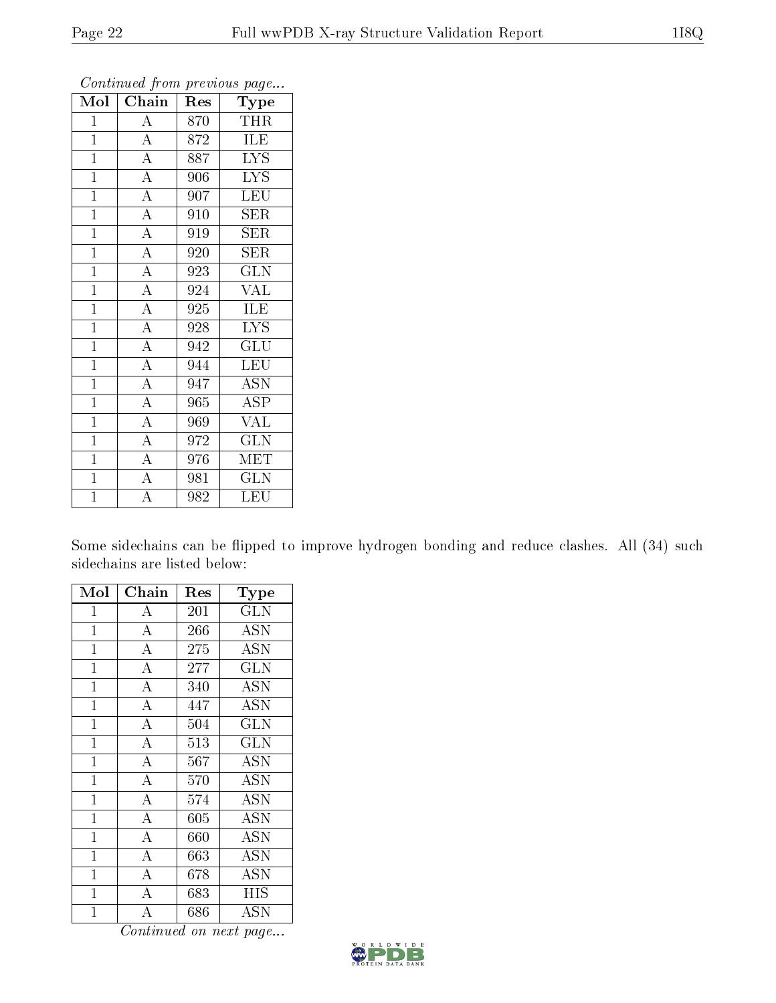| Mol            | Chain              | Res | <b>Type</b>             |
|----------------|--------------------|-----|-------------------------|
| $\mathbf{1}$   | $\overline{A}$     | 870 | <b>THR</b>              |
| $\mathbf{1}$   | $\overline{A}$     | 872 | ILE                     |
| $\mathbf{1}$   | $\overline{A}$     | 887 | <b>LYS</b>              |
| $\overline{1}$ | $\overline{\rm A}$ | 906 | <b>LYS</b>              |
| $\overline{1}$ | $\overline{A}$     | 907 | LEU                     |
| $\overline{1}$ | $\overline{A}$     | 910 | $\rm{SER}$              |
| $\overline{1}$ | $\overline{\rm A}$ | 919 | SER                     |
| $\mathbf{1}$   | $\overline{A}$     | 920 | <b>SER</b>              |
| $\mathbf{1}$   | $\overline{A}$     | 923 | <b>GLN</b>              |
| $\overline{1}$ | $\overline{A}$     | 924 | VAL                     |
| $\mathbf{1}$   | $\overline{A}$     | 925 | ILE                     |
| $\mathbf{1}$   | $\overline{\rm A}$ | 928 | $\overline{\text{LYS}}$ |
| $\mathbf{1}$   | $\overline{\rm A}$ | 942 | GLU                     |
| $\mathbf{1}$   | $\overline{A}$     | 944 | <b>LEU</b>              |
| $\overline{1}$ | $\overline{A}$     | 947 | $\overline{\text{ASN}}$ |
| $\mathbf{1}$   | $\overline{A}$     | 965 | ASP                     |
| $\overline{1}$ | $\overline{A}$     | 969 | <b>VAL</b>              |
| $\mathbf{1}$   | $\overline{A}$     | 972 | $\overline{\text{GLN}}$ |
| $\mathbf{1}$   | $\overline{\rm A}$ | 976 | MET                     |
| $\overline{1}$ | $\overline{\rm A}$ | 981 | $\overline{{\rm GLN}}$  |
| $\overline{1}$ | $\overline{\rm A}$ | 982 | LEU                     |

Some sidechains can be flipped to improve hydrogen bonding and reduce clashes. All (34) such sidechains are listed below:

| Mol            | Chain              | $\operatorname{Res}% \left( \mathcal{N}\right) \equiv\operatorname{Res}(\mathcal{N}_{0},\mathcal{N}_{0})$ | Type                    |
|----------------|--------------------|-----------------------------------------------------------------------------------------------------------|-------------------------|
| $\mathbf 1$    | A                  | 201                                                                                                       | $\overline{\text{GLN}}$ |
| $\mathbf{1}$   | $\overline{A}$     | 266                                                                                                       | <b>ASN</b>              |
| $\overline{1}$ | $\overline{A}$     | 275                                                                                                       | $\overline{ASN}$        |
| $\mathbf 1$    | $\overline{A}$     | 277                                                                                                       | <b>GLN</b>              |
| $\mathbf 1$    | $\overline{\rm A}$ | 340                                                                                                       | <b>ASN</b>              |
| $\mathbf 1$    | $\overline{A}$     | 447                                                                                                       | <b>ASN</b>              |
| $\mathbf{1}$   | $\bf{A}$           | 504                                                                                                       | <b>GLN</b>              |
| $\mathbf{1}$   | $\overline{\rm A}$ | 513                                                                                                       | GLN                     |
| $\mathbf{1}$   | $\bf{A}$           | 567                                                                                                       | ASN                     |
| $\mathbf{1}$   | $\overline{\rm A}$ | 570                                                                                                       | <b>ASN</b>              |
| $\mathbf{1}$   | $\overline{A}$     | 574                                                                                                       | <b>ASN</b>              |
| $\mathbf{1}$   | $\bf{A}$           | 605                                                                                                       | <b>ASN</b>              |
| $\mathbf{1}$   | $\overline{A}$     | 660                                                                                                       | <b>ASN</b>              |
| $\mathbf{1}$   | $\overline{A}$     | 663                                                                                                       | <b>ASN</b>              |
| $\mathbf{1}$   | $\overline{A}$     | 678                                                                                                       | $\overline{ASN}$        |
| $\mathbf{1}$   | $\overline{\rm A}$ | 683                                                                                                       | <b>HIS</b>              |
| $\overline{1}$ | $\overline{\rm A}$ | 686                                                                                                       | ASN                     |

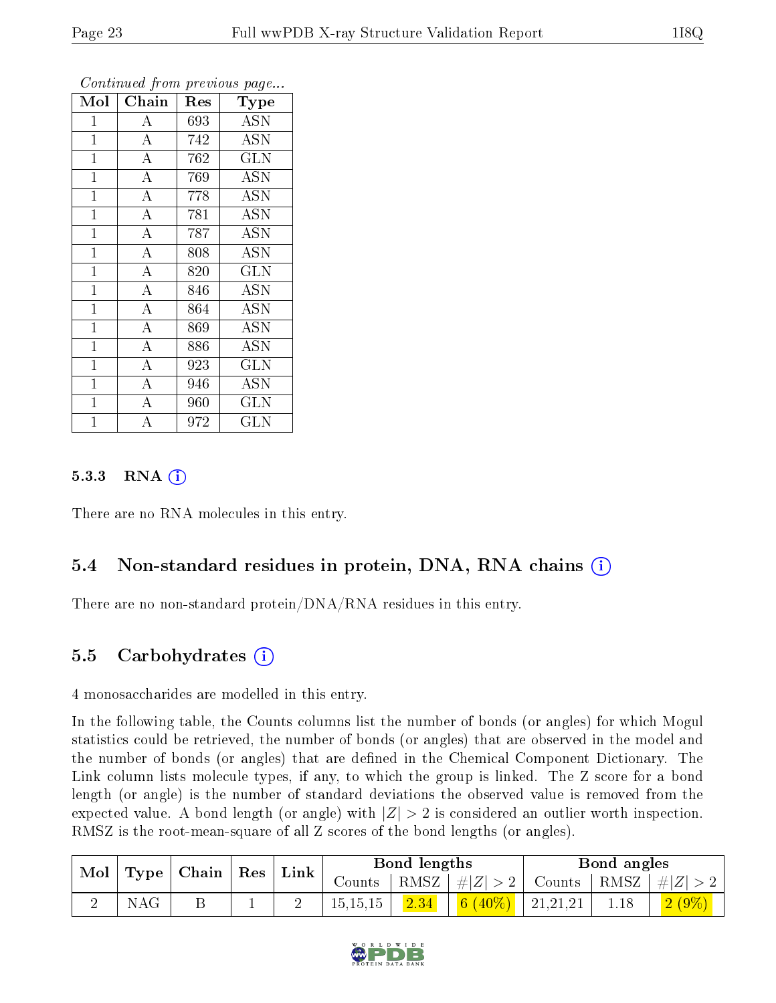| Mol            | Chain              | Res | Type                 |
|----------------|--------------------|-----|----------------------|
| $\mathbf{1}$   | $\boldsymbol{A}$   | 693 | <b>ASN</b>           |
| $\mathbf{1}$   | $\overline{A}$     | 742 | <b>ASN</b>           |
| $\mathbf{1}$   | $\overline{A}$     | 762 | <b>GLN</b>           |
| $\mathbf{1}$   | $\overline{\rm A}$ | 769 | <b>ASN</b>           |
| $\mathbf 1$    | $\overline{\rm A}$ | 778 | <b>ASN</b>           |
| $\mathbf{1}$   | $\overline{A}$     | 781 | <b>ASN</b>           |
| $\mathbf{1}$   | $\overline{A}$     | 787 | $\overline{A}$ SN    |
| $\mathbf{1}$   | $\overline{A}$     | 808 | <b>ASN</b>           |
| $\overline{1}$ | $\overline{\rm A}$ | 820 | <b>GLN</b>           |
| $\overline{1}$ | $\overline{A}$     | 846 | <b>ASN</b>           |
| $\overline{1}$ | $\overline{\rm A}$ | 864 | <b>ASN</b>           |
| $\overline{1}$ | $\overline{\rm A}$ | 869 | <b>ASN</b>           |
| $\mathbf{1}$   | $\overline{A}$     | 886 | <b>ASN</b>           |
| $\mathbf 1$    | $\overline{\rm A}$ | 923 | $\overline{\rm GLN}$ |
| 1              | $\overline{\rm A}$ | 946 | ASN                  |
| $\mathbf 1$    | A                  | 960 | <b>GLN</b>           |
| $\overline{1}$ | А                  | 972 | GLN                  |

#### 5.3.3 RNA (1)

There are no RNA molecules in this entry.

### 5.4 Non-standard residues in protein, DNA, RNA chains (i)

There are no non-standard protein/DNA/RNA residues in this entry.

#### 5.5 Carbohydrates (i)

4 monosaccharides are modelled in this entry.

In the following table, the Counts columns list the number of bonds (or angles) for which Mogul statistics could be retrieved, the number of bonds (or angles) that are observed in the model and the number of bonds (or angles) that are defined in the Chemical Component Dictionary. The Link column lists molecule types, if any, to which the group is linked. The Z score for a bond length (or angle) is the number of standard deviations the observed value is removed from the expected value. A bond length (or angle) with  $|Z| > 2$  is considered an outlier worth inspection. RMSZ is the root-mean-square of all Z scores of the bond lengths (or angles).

| Mol | Type | $\mid$ Chain $\mid$ Res $\mid$ | Link   |            | Bond lengths          |          |                | Bond angles        |          |
|-----|------|--------------------------------|--------|------------|-----------------------|----------|----------------|--------------------|----------|
|     |      |                                | Counts |            | $ RMSZ  \neq  Z  > 2$ | Counts   |                | RMSZ   $\# Z  > 2$ |          |
|     | NAG  |                                |        | 15, 15, 15 | $\left 2.34\right $   | 6 (40\%) | $\pm 21,21,21$ | 1.18               | $2(9\%)$ |

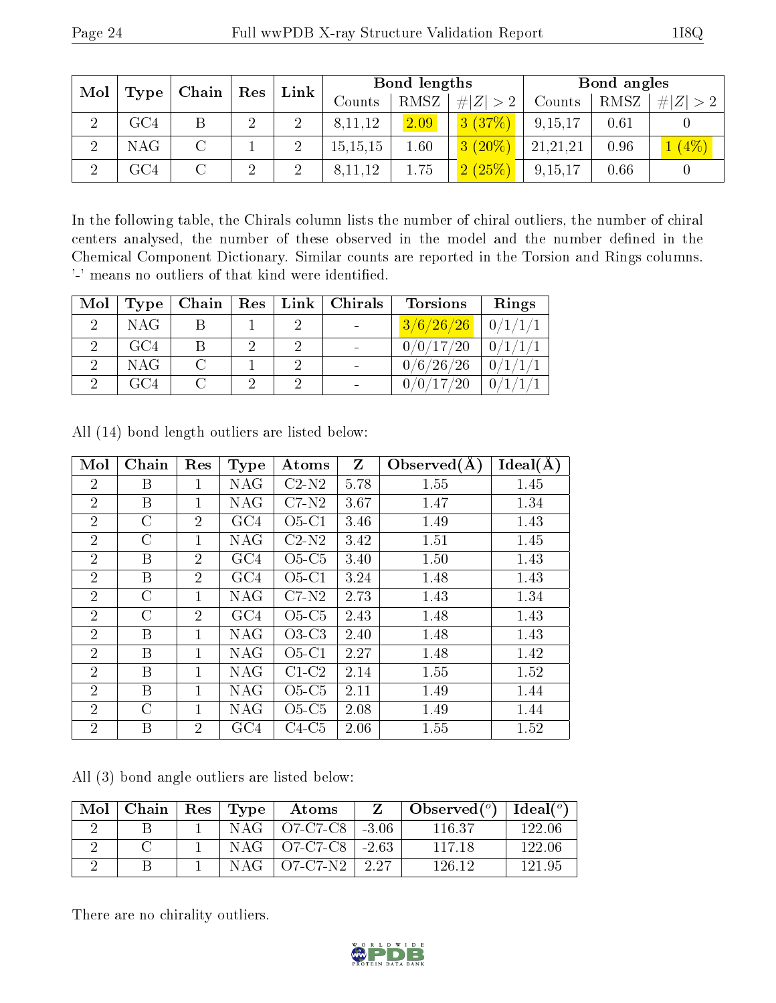| Mol |                              | $\mid$ Chain $\mid$ Res |   | Link           |            | Bond lengths |             |          | Bond angles |             |
|-----|------------------------------|-------------------------|---|----------------|------------|--------------|-------------|----------|-------------|-------------|
|     | $\parallel$ Type $\parallel$ |                         |   |                | Counts     | RMSZ         | # $ Z  > 2$ | Counts   | RMSZ        | # $ Z  > 2$ |
|     | $\rm GC4$                    |                         | ച | $\overline{2}$ | 8,11,12    | 2.09         | 3(37%)      | 9,15,17  | 0.61        |             |
| ച   | <b>NAG</b>                   |                         |   |                | 15, 15, 15 | 1.60         | $3(20\%)$   | 21,21,21 | 0.96        | $(4\%)$     |
|     | GC4                          |                         | ച | റ              | , 11, 12   | 1.75         | $(2.6\%)$   | 9,15,17  | 0.66        |             |

In the following table, the Chirals column lists the number of chiral outliers, the number of chiral centers analysed, the number of these observed in the model and the number defined in the Chemical Component Dictionary. Similar counts are reported in the Torsion and Rings columns. '-' means no outliers of that kind were identified.

| Mol | Type       | $\overline{\phantom{a}}$ Chain $\overline{\phantom{a}}$ |          | $\mid$ Res $\mid$ Link $\mid$ Chirals | <b>Torsions</b>         | Rings      |
|-----|------------|---------------------------------------------------------|----------|---------------------------------------|-------------------------|------------|
|     | NAG        |                                                         |          |                                       | $3/6/26/26$   $0/1/1/1$ |            |
|     | GC4        |                                                         | $\Omega$ |                                       | 0/0/17/20               | $-0/1/1/1$ |
|     | <b>NAG</b> | $\cap$                                                  |          |                                       | 0/6/26/26               | 0/1/1/1    |
|     | GC4        |                                                         | 9        |                                       | 0/0/17/20               | $\theta'$  |

| Mol            | Chain   | Res            | Type       | Atoms   | Z    | Observed $(A)$ | Ideal(A) |
|----------------|---------|----------------|------------|---------|------|----------------|----------|
| $\overline{2}$ | В       |                | <b>NAG</b> | $C2-N2$ | 5.78 | 1.55           | 1.45     |
| $\overline{2}$ | Β       | 1              | NAG        | $C7-N2$ | 3.67 | 1.47           | 1.34     |
| $\overline{2}$ | С       | $\overline{2}$ | GC4        | $O5-C1$ | 3.46 | 1.49           | 1.43     |
| $\overline{2}$ | C       | 1              | <b>NAG</b> | $C2-N2$ | 3.42 | 1.51           | 1.45     |
| $\overline{2}$ | Β       | $\overline{2}$ | GC4        | $O5-C5$ | 3.40 | 1.50           | 1.43     |
| $\overline{2}$ | B       | $\overline{2}$ | GC4        | $O5-C1$ | 3.24 | 1.48           | 1.43     |
| $\overline{2}$ | $\rm C$ | 1              | NAG        | $C7-N2$ | 2.73 | 1.43           | 1.34     |
| $\overline{2}$ | $\rm C$ | $\overline{2}$ | GC4        | $O5-C5$ | 2.43 | 1.48           | 1.43     |
| $\overline{2}$ | Β       | 1              | NAG        | $O3-C3$ | 2.40 | 1.48           | 1.43     |
| $\overline{2}$ | B       | 1              | NAG        | $O5-C1$ | 2.27 | 1.48           | 1.42     |
| $\overline{2}$ | В       | 1              | NAG        | $C1-C2$ | 2.14 | 1.55           | 1.52     |
| $\overline{2}$ | B       | 1              | NAG        | $O5-C5$ | 2.11 | 1.49           | 1.44     |
| $\overline{2}$ | $\rm C$ | 1              | NAG        | $O5-C5$ | 2.08 | 1.49           | 1.44     |
| $\overline{2}$ | Β       | $\overline{2}$ | GC4        | $C4-C5$ | 2.06 | 1.55           | 1.52     |

All (14) bond length outliers are listed below:

All (3) bond angle outliers are listed below:

| Mol | Chain | $\,$ Res $^{+}$ | $\mathbf{Type}$ | Atoms                                      |        | Observed $(°)$ | Ideal $(°)$ |
|-----|-------|-----------------|-----------------|--------------------------------------------|--------|----------------|-------------|
|     |       |                 | NAG             | $^+$ O7-C7-C8 $^-$                         | -3.06  | 116.37         | 122.06      |
|     |       |                 | NAG-            | $\frac{1}{2}$ O7-C7-C8 $\frac{1}{2}$ -2.63 |        | 117 18         | 122.06      |
|     |       |                 | NAG             | $OZ-CZ-N2$                                 | - 2.27 | 126 12         | 191 95      |

There are no chirality outliers.

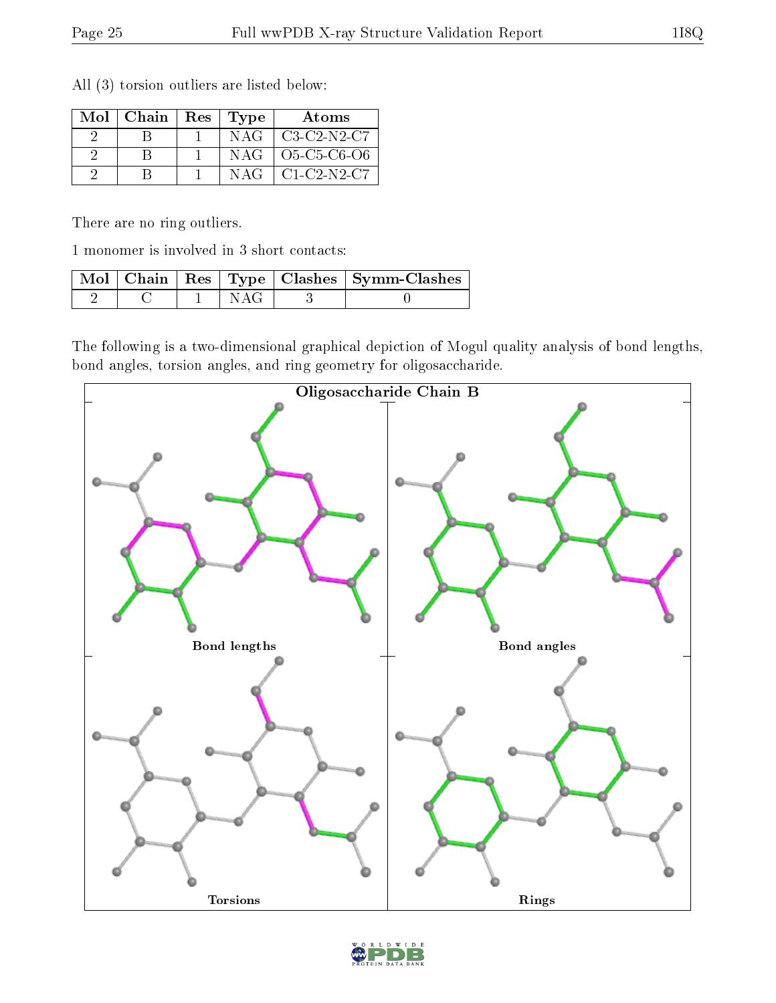| $Mol$   Chain | Res   Type | Atoms               |
|---------------|------------|---------------------|
|               | NAG        | $C3-C2-N2-C7$       |
|               | NAG        | $O5 - C5 - C6 - O6$ |
|               | N AG-      | $C1-C2-N2-C7$       |

All (3) torsion outliers are listed below:

There are no ring outliers.

1 monomer is involved in 3 short contacts:

|  |  | Mol   Chain   Res   Type   Clashes   Symm-Clashes |
|--|--|---------------------------------------------------|
|  |  |                                                   |

The following is a two-dimensional graphical depiction of Mogul quality analysis of bond lengths, bond angles, torsion angles, and ring geometry for oligosaccharide.



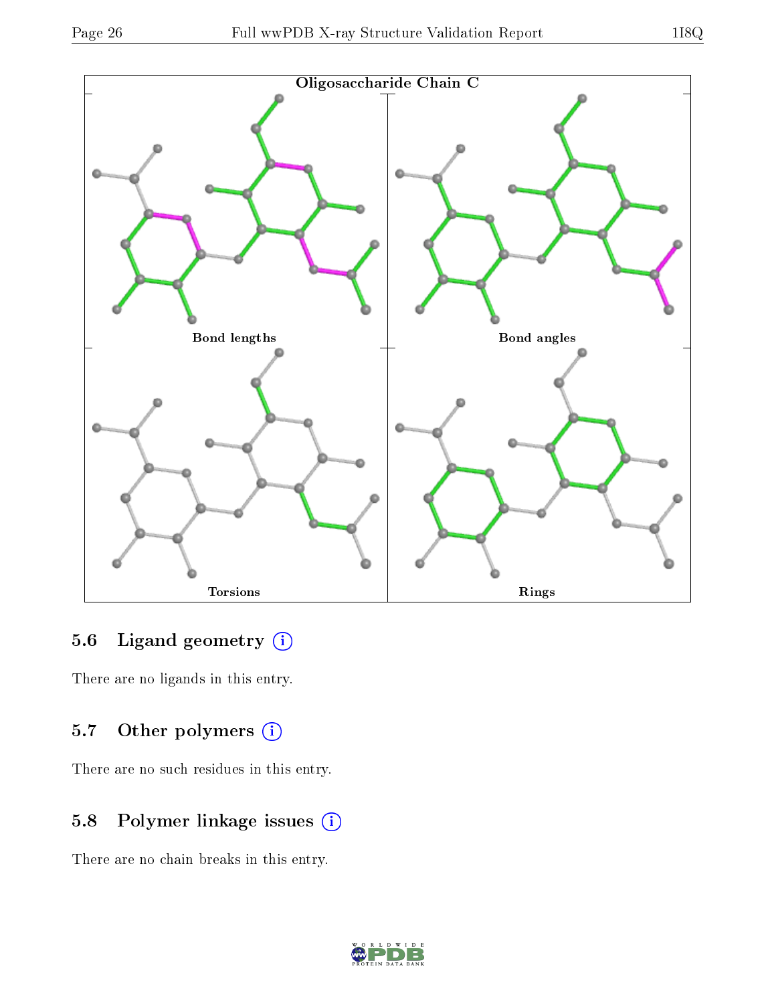

#### 5.6 Ligand geometry  $(i)$

There are no ligands in this entry.

### 5.7 [O](https://www.wwpdb.org/validation/2017/XrayValidationReportHelp#nonstandard_residues_and_ligands)ther polymers (i)

There are no such residues in this entry.

## 5.8 Polymer linkage issues (i)

There are no chain breaks in this entry.

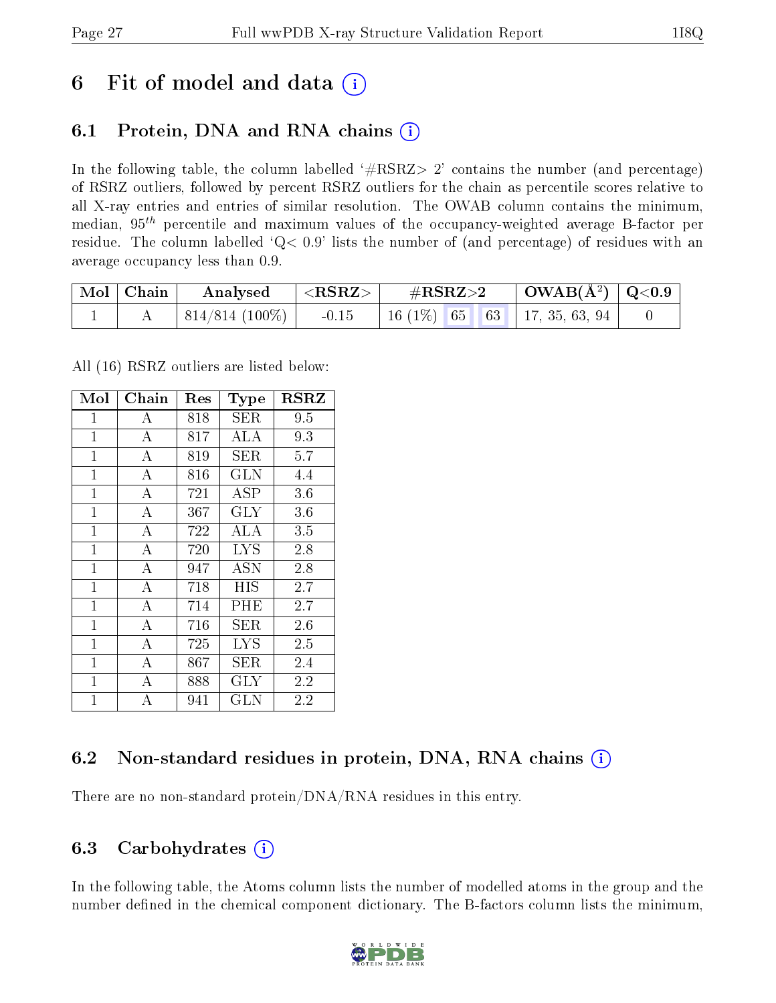## 6 Fit of model and data  $(i)$

### 6.1 Protein, DNA and RNA chains (i)

In the following table, the column labelled  $#RSRZ> 2'$  contains the number (and percentage) of RSRZ outliers, followed by percent RSRZ outliers for the chain as percentile scores relative to all X-ray entries and entries of similar resolution. The OWAB column contains the minimum, median,  $95<sup>th</sup>$  percentile and maximum values of the occupancy-weighted average B-factor per residue. The column labelled ' $Q< 0.9$ ' lists the number of (and percentage) of residues with an average occupancy less than 0.9.

| $\mid$ Mol $\mid$ Chain | Analysed                       | $^+$ $<$ $\mathrm{RSRZ}$ $>$ $^+$ | $\#RSRZ\!\!>\!2$ |  | $\vert$ OWAB( $\rm{\AA^2}$ ) $\vert$ Q<0.9 $\vert$ |                                     |  |
|-------------------------|--------------------------------|-----------------------------------|------------------|--|----------------------------------------------------|-------------------------------------|--|
|                         | $\vert$ 814/814 (100%) $\vert$ | $-0.15$                           |                  |  |                                                    | 16 (1\%)   65   63   17, 35, 63, 94 |  |

All (16) RSRZ outliers are listed below:

| Mol            | ${\rm Chain}$      | $\operatorname{Res}% \left( \mathcal{N}\right) \equiv\operatorname{Res}(\mathcal{N}_{0})\cap\mathcal{N}_{1}$ | Type        | $_{\rm RSRZ}$ |
|----------------|--------------------|--------------------------------------------------------------------------------------------------------------|-------------|---------------|
| $\mathbf{1}$   | А                  | 818                                                                                                          | SER         | 9.5           |
| $\mathbf 1$    | $\boldsymbol{A}$   | 817                                                                                                          | ALA         | 9.3           |
| $\mathbf{1}$   | $\boldsymbol{A}$   | 819                                                                                                          | SER.        | 5.7           |
| $\mathbf{1}$   | $\bf{A}$           | 816                                                                                                          | <b>GLN</b>  | 4.4           |
| $\mathbf{1}$   | $\overline{\rm A}$ | 721                                                                                                          | ASP         | 3.6           |
| 1              | А                  | 367                                                                                                          | $\rm GLY$   | $3.6\,$       |
| $\mathbf{1}$   | $\overline{A}$     | 722                                                                                                          | ALA         | 3.5           |
| $\mathbf{1}$   | $\boldsymbol{A}$   | 720                                                                                                          | LYS         | 2.8           |
| $\mathbf{1}$   | $\bf{A}$           | 947                                                                                                          | <b>ASN</b>  | 2.8           |
| $\mathbf{1}$   | $\overline{\rm A}$ | 718                                                                                                          | HIS         | 2.7           |
| $\overline{1}$ | $\overline{A}$     | 714                                                                                                          | $\rm PHE$   | 2.7           |
| $\mathbf{1}$   | A                  | 716                                                                                                          | SER         | 2.6           |
| $\overline{1}$ | А                  | 725                                                                                                          | <b>LYS</b>  | 2.5           |
| $\mathbf{1}$   | $\overline{A}$     | 867                                                                                                          | ${\rm SER}$ | 2.4           |
| $\mathbf{1}$   | A                  | 888                                                                                                          | GLY         | 2.2           |
| $\mathbf 1$    | $\overline{A}$     | 941                                                                                                          | <b>GLN</b>  | 2.2           |

### 6.2 Non-standard residues in protein, DNA, RNA chains  $(i)$

There are no non-standard protein/DNA/RNA residues in this entry.

### 6.3 Carbohydrates (i)

In the following table, the Atoms column lists the number of modelled atoms in the group and the number defined in the chemical component dictionary. The B-factors column lists the minimum,

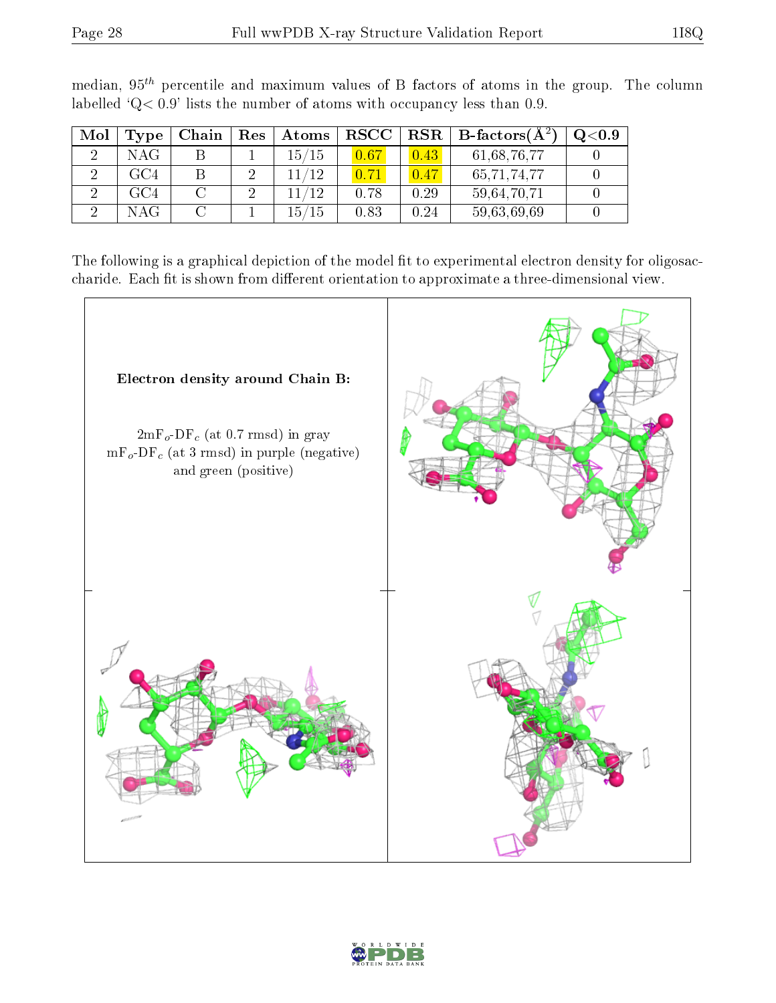|--|

| Mol | Type | Chain | $\operatorname{Res}$ | Atoms | $_{\rm RSCC}$ |      | $\text{RSR} \parallel \text{B-factors}(\text{A}^2)$ | $_{\mathrm{Q}< 0.9}$ |
|-----|------|-------|----------------------|-------|---------------|------|-----------------------------------------------------|----------------------|
|     | NAG  |       |                      | 15/15 |               | 0.43 | 61,68,76,77                                         |                      |
|     | GC4  |       | 2                    | 11/12 |               | 0.47 | 65,71,74,77                                         |                      |
|     | GC4  |       | 2                    | 11/19 | 0.78          | 0.29 | 59,64,70,71                                         |                      |
|     | NAG  |       |                      | 15/15 | 0.83          | 0.24 | 59,63,69,69                                         |                      |

median,  $95<sup>th</sup>$  percentile and maximum values of B factors of atoms in the group. The column labelled ' $Q< 0.9$ ' lists the number of atoms with occupancy less than 0.9.

The following is a graphical depiction of the model fit to experimental electron density for oligosaccharide. Each fit is shown from different orientation to approximate a three-dimensional view.